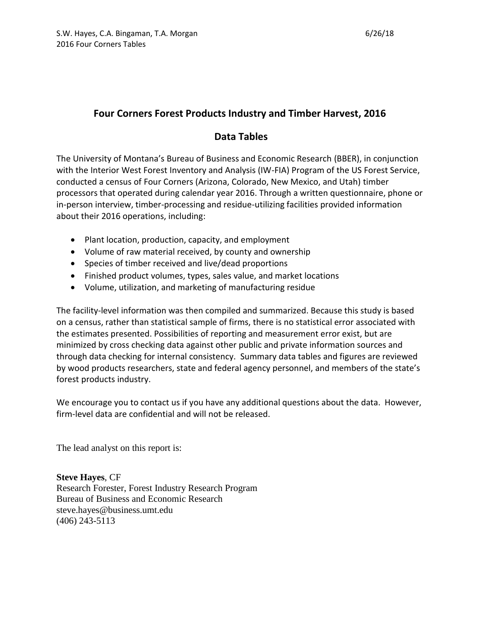## **Four Corners Forest Products Industry and Timber Harvest, 2016**

### **Data Tables**

The University of Montana's Bureau of Business and Economic Research (BBER), in conjunction with the Interior West Forest Inventory and Analysis (IW-FIA) Program of the US Forest Service, conducted a census of Four Corners (Arizona, Colorado, New Mexico, and Utah) timber processors that operated during calendar year 2016. Through a written questionnaire, phone or in-person interview, timber-processing and residue-utilizing facilities provided information about their 2016 operations, including:

- Plant location, production, capacity, and employment
- Volume of raw material received, by county and ownership
- Species of timber received and live/dead proportions
- Finished product volumes, types, sales value, and market locations
- Volume, utilization, and marketing of manufacturing residue

The facility-level information was then compiled and summarized. Because this study is based on a census, rather than statistical sample of firms, there is no statistical error associated with the estimates presented. Possibilities of reporting and measurement error exist, but are minimized by cross checking data against other public and private information sources and through data checking for internal consistency. Summary data tables and figures are reviewed by wood products researchers, state and federal agency personnel, and members of the state's forest products industry.

We encourage you to contact us if you have any additional questions about the data. However, firm-level data are confidential and will not be released.

The lead analyst on this report is:

**Steve Hayes**, CF Research Forester, Forest Industry Research Program Bureau of Business and Economic Research steve.hayes@business.umt.edu (406) 243-5113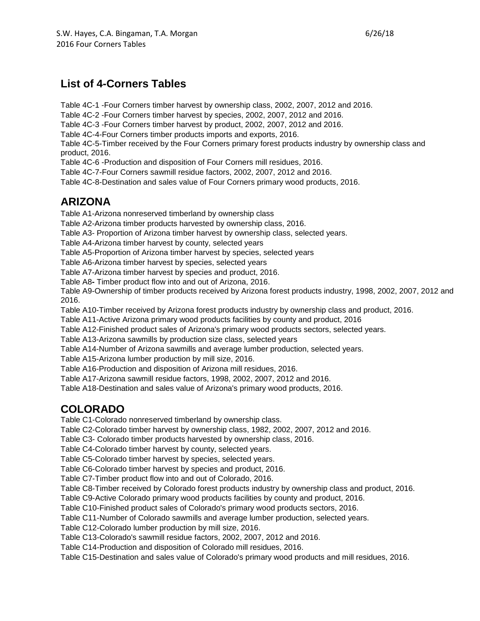# **List of 4-Corners Tables**

Table 4C-1 -Four Corners timber harvest by ownership class, 2002, 2007, 2012 and 2016.

Table 4C-2 -Four Corners timber harvest by species, 2002, 2007, 2012 and 2016.

Table 4C-3 -Four Corners timber harvest by product, 2002, 2007, 2012 and 2016.

Table 4C-4-Four Corners timber products imports and exports, 2016.

Table 4C-5-Timber received by the Four Corners primary forest products industry by ownership class and product, 2016.

Table 4C-6 -Production and disposition of Four Corners mill residues, 2016.

Table 4C-7-Four Corners sawmill residue factors, 2002, 2007, 2012 and 2016.

Table 4C-8-Destination and sales value of Four Corners primary wood products, 2016.

# **ARIZONA**

Table A1-Arizona nonreserved timberland by ownership class

Table A2-Arizona timber products harvested by ownership class, 2016.

Table A3- Proportion of Arizona timber harvest by ownership class, selected years.

Table A4-Arizona timber harvest by county, selected years

Table A5-Proportion of Arizona timber harvest by species, selected years

Table A6-Arizona timber harvest by species, selected years

Table A7-Arizona timber harvest by species and product, 2016.

Table A8**-** Timber product flow into and out of Arizona, 2016.

Table A9-Ownership of timber products received by Arizona forest products industry, 1998, 2002, 2007, 2012 and 2016.

Table A10-Timber received by Arizona forest products industry by ownership class and product, 2016.

Table A11-Active Arizona primary wood products facilities by county and product, 2016

Table A12-Finished product sales of Arizona's primary wood products sectors, selected years.

Table A13-Arizona sawmills by production size class, selected years

Table A14-Number of Arizona sawmills and average lumber production, selected years.

Table A15-Arizona lumber production by mill size, 2016.

Table A16-Production and disposition of Arizona mill residues, 2016.

Table A17-Arizona sawmill residue factors, 1998, 2002, 2007, 2012 and 2016.

Table A18-Destination and sales value of Arizona's primary wood products, 2016.

## **COLORADO**

Table C1-Colorado nonreserved timberland by ownership class.

Table C2-Colorado timber harvest by ownership class, 1982, 2002, 2007, 2012 and 2016.

Table C3- Colorado timber products harvested by ownership class, 2016.

Table C4-Colorado timber harvest by county, selected years.

Table C5-Colorado timber harvest by species, selected years.

Table C6-Colorado timber harvest by species and product, 2016.

Table C7-Timber product flow into and out of Colorado, 2016.

Table C8-Timber received by Colorado forest products industry by ownership class and product, 2016.

Table C9-Active Colorado primary wood products facilities by county and product, 2016.

Table C10-Finished product sales of Colorado's primary wood products sectors, 2016.

Table C11-Number of Colorado sawmills and average lumber production, selected years.

Table C12-Colorado lumber production by mill size, 2016.

Table C13-Colorado's sawmill residue factors, 2002, 2007, 2012 and 2016.

Table C14-Production and disposition of Colorado mill residues, 2016.

Table C15-Destination and sales value of Colorado's primary wood products and mill residues, 2016.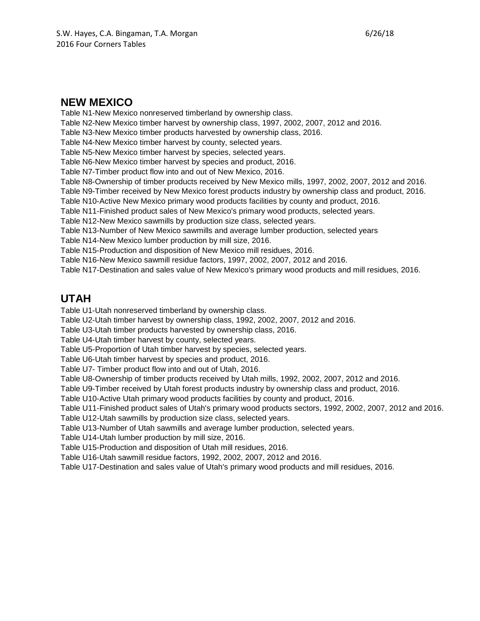### **NEW MEXICO**

Table N1-New Mexico nonreserved timberland by ownership class. Table N2-New Mexico timber harvest by ownership class, 1997, 2002, 2007, 2012 and 2016. Table N3-New Mexico timber products harvested by ownership class, 2016. Table N4-New Mexico timber harvest by county, selected years. Table N5-New Mexico timber harvest by species, selected years. Table N6-New Mexico timber harvest by species and product, 2016. Table N7-Timber product flow into and out of New Mexico, 2016. Table N8-Ownership of timber products received by New Mexico mills, 1997, 2002, 2007, 2012 and 2016. Table N9-Timber received by New Mexico forest products industry by ownership class and product, 2016. Table N10-Active New Mexico primary wood products facilities by county and product, 2016. Table N11-Finished product sales of New Mexico's primary wood products, selected years. Table N12-New Mexico sawmills by production size class, selected years. Table N13-Number of New Mexico sawmills and average lumber production, selected years Table N14-New Mexico lumber production by mill size, 2016. Table N15-Production and disposition of New Mexico mill residues, 2016. Table N16-New Mexico sawmill residue factors, 1997, 2002, 2007, 2012 and 2016. Table N17-Destination and sales value of New Mexico's primary wood products and mill residues, 2016.

## **UTAH**

Table U1-Utah nonreserved timberland by ownership class.

Table U2-Utah timber harvest by ownership class, 1992, 2002, 2007, 2012 and 2016.

Table U3-Utah timber products harvested by ownership class, 2016.

Table U4-Utah timber harvest by county, selected years.

Table U5-Proportion of Utah timber harvest by species, selected years.

Table U6-Utah timber harvest by species and product, 2016.

Table U7- Timber product flow into and out of Utah, 2016.

Table U8-Ownership of timber products received by Utah mills, 1992, 2002, 2007, 2012 and 2016.

Table U9-Timber received by Utah forest products industry by ownership class and product, 2016.

Table U10-Active Utah primary wood products facilities by county and product, 2016.

Table U11-Finished product sales of Utah's primary wood products sectors, 1992, 2002, 2007, 2012 and 2016.

Table U12-Utah sawmills by production size class, selected years.

Table U13-Number of Utah sawmills and average lumber production, selected years.

Table U14-Utah lumber production by mill size, 2016.

Table U15-Production and disposition of Utah mill residues, 2016.

Table U16-Utah sawmill residue factors, 1992, 2002, 2007, 2012 and 2016.

Table U17-Destination and sales value of Utah's primary wood products and mill residues, 2016.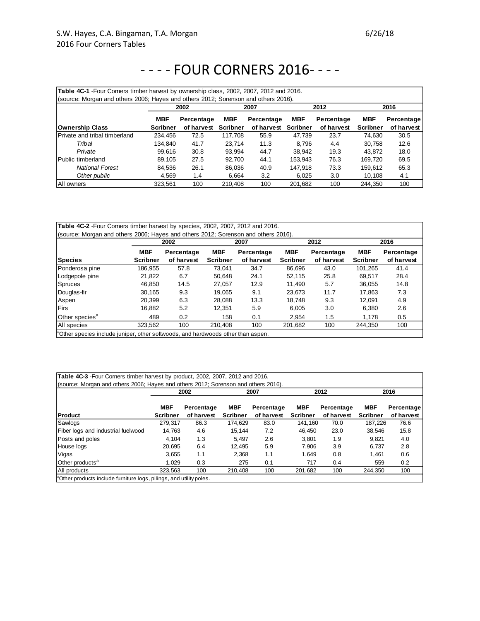| Table 4C-1 - Four Corners timber harvest by ownership class, 2002, 2007, 2012 and 2016.<br>(source: Morgan and others 2006; Hayes and others 2012; Sorenson and others 2016). |                 |            |                 |            |                 |            |                 |            |  |  |
|-------------------------------------------------------------------------------------------------------------------------------------------------------------------------------|-----------------|------------|-----------------|------------|-----------------|------------|-----------------|------------|--|--|
|                                                                                                                                                                               |                 | 2002       |                 | 2007       |                 | 2012       |                 | 2016       |  |  |
|                                                                                                                                                                               | MBF             | Percentage | <b>MBF</b>      | Percentage | <b>MBF</b>      | Percentage | <b>MBF</b>      | Percentage |  |  |
| Ownership Class                                                                                                                                                               | <b>Scribner</b> | of harvest | <b>Scribner</b> | of harvest | <b>Scribner</b> | of harvest | <b>Scribner</b> | of harvest |  |  |
| <b>IPrivate and tribal timberland</b>                                                                                                                                         | 234.456         | 72.5       | 117.708         | 55.9       | 47.739          | 23.7       | 74.630          | 30.5       |  |  |
| Tribal                                                                                                                                                                        | 134.840         | 41.7       | 23.714          | 11.3       | 8.796           | 4.4        | 30.758          | 12.6       |  |  |
| Private                                                                                                                                                                       | 99.616          | 30.8       | 93.994          | 44.7       | 38.942          | 19.3       | 43.872          | 18.0       |  |  |
| Public timberland                                                                                                                                                             | 89.105          | 27.5       | 92.700          | 44.1       | 153.943         | 76.3       | 169,720         | 69.5       |  |  |
| <b>National Forest</b>                                                                                                                                                        | 84.536          | 26.1       | 86.036          | 40.9       | 147,918         | 73.3       | 159,612         | 65.3       |  |  |
| Other public                                                                                                                                                                  | 4.569           | 1.4        | 6.664           | 3.2        | 6.025           | 3.0        | 10.108          | 4.1        |  |  |
| <b>All owners</b>                                                                                                                                                             | 323.561         | 100        | 210.408         | 100        | 201.682         | 100        | 244.350         | 100        |  |  |

|                            |                 | 2002       |                 | 2007       |                 | 2012       | 2016            |            |  |
|----------------------------|-----------------|------------|-----------------|------------|-----------------|------------|-----------------|------------|--|
|                            | <b>MBF</b>      | Percentage | <b>MBF</b>      | Percentage | <b>MBF</b>      | Percentage | <b>MBF</b>      | Percentage |  |
| <b>Species</b>             | <b>Scribner</b> | of harvest | <b>Scribner</b> | of harvest | <b>Scribner</b> | of harvest | <b>Scribner</b> | of harvest |  |
| Ponderosa pine             | 186.955         | 57.8       | 73.041          | 34.7       | 86.696          | 43.0       | 101.265         | 41.4       |  |
| Lodgepole pine             | 21.822          | 6.7        | 50.648          | 24.1       | 52.115          | 25.8       | 69.517          | 28.4       |  |
| <b>Spruces</b>             | 46.850          | 14.5       | 27.057          | 12.9       | 11.490          | 5.7        | 36.055          | 14.8       |  |
| Douglas-fir                | 30.165          | 9.3        | 19.065          | 9.1        | 23.673          | 11.7       | 17.863          | 7.3        |  |
| Aspen                      | 20.399          | 6.3        | 28.088          | 13.3       | 18.748          | 9.3        | 12.091          | 4.9        |  |
| <b>Firs</b>                | 16.882          | 5.2        | 12.351          | 5.9        | 6.005           | 3.0        | 6.380           | 2.6        |  |
| Other species <sup>a</sup> | 489             | 0.2        | 158             | 0.1        | 2.954           | 1.5        | 1,178           | 0.5        |  |
| All species                | 323.562         | 100        | 210.408         | 100        | 201,682         | 100        | 244.350         | 100        |  |

Uther species include juniper, other softwoods, and hardwoods other than asper

| Table 4C-3 - Four Corners timber harvest by product, 2002, 2007, 2012 and 2016.<br>(source: Morgan and others 2006; Hayes and others 2012; Sorenson and others 2016). |                               |                          |                               |                          |                               |                          |                               |                          |
|-----------------------------------------------------------------------------------------------------------------------------------------------------------------------|-------------------------------|--------------------------|-------------------------------|--------------------------|-------------------------------|--------------------------|-------------------------------|--------------------------|
|                                                                                                                                                                       |                               | 2002                     |                               | 2007                     |                               | 2012                     |                               | 2016                     |
| Product                                                                                                                                                               | <b>MBF</b><br><b>Scribner</b> | Percentage<br>of harvest | <b>MBF</b><br><b>Scribner</b> | Percentage<br>of harvest | <b>MBF</b><br><b>Scribner</b> | Percentage<br>of harvest | <b>MBF</b><br><b>Scribner</b> | Percentage<br>of harvest |
| Sawlogs                                                                                                                                                               | 279.317                       | 86.3                     | 174.629                       | 83.0                     | 141.160                       | 70.0                     | 187,226                       | 76.6                     |
| Fiber logs and industrial fuelwood                                                                                                                                    | 14.763                        | 4.6                      | 15.144                        | 7.2                      | 46.450                        | 23.0                     | 38.546                        | 15.8                     |
| Posts and poles                                                                                                                                                       | 4,104                         | 1.3                      | 5.497                         | 2.6                      | 3.801                         | 1.9                      | 9,821                         | 4.0                      |
| House logs                                                                                                                                                            | 20.695                        | 6.4                      | 12.495                        | 5.9                      | 7.906                         | 3.9                      | 6,737                         | 2.8                      |
| Vigas                                                                                                                                                                 | 3.655                         | 1.1                      | 2.368                         | 1.1                      | 1.649                         | 0.8                      | 1.461                         | 0.6                      |
| Other products <sup>a</sup>                                                                                                                                           | 1.029                         | 0.3                      | 275                           | 0.1                      | 717                           | 0.4                      | 559                           | 0.2                      |
| All products                                                                                                                                                          | 323.563                       | 100                      | 210.408                       | 100                      | 201.682                       | 100                      | 244.350                       | 100                      |
| <sup>a</sup> Other products include furniture logs, pilings, and utility poles.                                                                                       |                               |                          |                               |                          |                               |                          |                               |                          |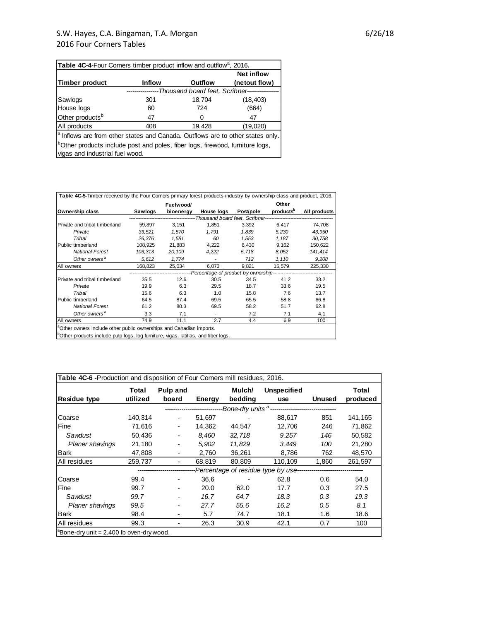| <b>Table 4C-4-Four Corners timber product inflow and outflow</b> <sup>a</sup> , 2016.                                        |               |                |                   |  |  |  |  |  |
|------------------------------------------------------------------------------------------------------------------------------|---------------|----------------|-------------------|--|--|--|--|--|
|                                                                                                                              |               |                | <b>Net inflow</b> |  |  |  |  |  |
| Timber product                                                                                                               | <b>Inflow</b> | <b>Outflow</b> | (netout flow)     |  |  |  |  |  |
| -Thousand board feet, Scribner----                                                                                           |               |                |                   |  |  |  |  |  |
| Sawlogs                                                                                                                      | 301           | 18,704         | (18, 403)         |  |  |  |  |  |
| House logs                                                                                                                   | 60            | 724            | (664)             |  |  |  |  |  |
| Other products <sup>b</sup>                                                                                                  | 47            | $\Omega$       | 47                |  |  |  |  |  |
| All products                                                                                                                 | 408           | 19,428         | (19,020)          |  |  |  |  |  |
| <sup>a</sup> Inflows are from other states and Canada. Outflows are to other states only.                                    |               |                |                   |  |  |  |  |  |
| <sup>1</sup> Other products include post and poles, fiber logs, firewood, furniture logs,<br>vigas and industrial fuel wood. |               |                |                   |  |  |  |  |  |

|                               |         | Fuelwood/ |                                                                                                   | Other     |                       |              |  |  |
|-------------------------------|---------|-----------|---------------------------------------------------------------------------------------------------|-----------|-----------------------|--------------|--|--|
| Ownership class               | Sawlogs | bioenergy | House logs                                                                                        | Post/pole | products <sup>b</sup> | All products |  |  |
|                               |         |           | -----------------------------------Thousand board feet, Scribner--------------------------------  |           |                       |              |  |  |
| Private and tribal timberland | 59.897  | 3.151     | 1.851                                                                                             | 3.392     | 6,417                 | 74,708       |  |  |
| Private                       | 33.521  | 1.570     | 1.791                                                                                             | 1,839     | 5,230                 | 43.950       |  |  |
| Tribal                        | 26,376  | 1,581     | 60                                                                                                | 1,553     | 1,187                 | 30,758       |  |  |
| Public timberland             | 108,925 | 21,883    | 4,222                                                                                             | 6,430     | 9,162                 | 150,622      |  |  |
| <b>National Forest</b>        | 103,313 | 20,109    | 4,222                                                                                             | 5,718     | 8,052                 | 141,414      |  |  |
| Other owners <sup>a</sup>     | 5,612   | 1,774     | $\overline{\phantom{a}}$                                                                          | 712       | 1,110                 | 9,208        |  |  |
| All owners                    | 168,823 | 25,034    | 6,073                                                                                             | 9,821     | 15,579                | 225,330      |  |  |
|                               |         |           | -------------------------------Percentage of product by ownership-------------------------------- |           |                       |              |  |  |
| Private and tribal timberland | 35.5    | 12.6      | 30.5                                                                                              | 34.5      | 41.2                  | 33.2         |  |  |
| Private                       | 19.9    | 6.3       | 29.5                                                                                              | 18.7      | 33.6                  | 19.5         |  |  |
| Tribal                        | 15.6    | 6.3       | 1.0                                                                                               | 15.8      | 7.6                   | 13.7         |  |  |
| Public timberland             | 64.5    | 87.4      | 69.5                                                                                              | 65.5      | 58.8                  | 66.8         |  |  |
| <b>National Forest</b>        | 61.2    | 80.3      | 69.5                                                                                              | 58.2      | 51.7                  | 62.8         |  |  |
| Other owners <sup>a</sup>     | 3.3     | 7.1       | $\blacksquare$                                                                                    | 7.2       | 7.1                   | 4.1          |  |  |
| All owners                    | 74.9    | 11.1      | 2.7                                                                                               | 4.4       | 6.9                   | 100          |  |  |

<sup>b</sup>Other products include pulp logs, log furniture, vigas, latillas, and fiber logs.

| Table 4C-6 - Production and disposition of Four Corners mill residues, 2016. |                   |                           |        |                          |                                                                                  |               |                   |
|------------------------------------------------------------------------------|-------------------|---------------------------|--------|--------------------------|----------------------------------------------------------------------------------|---------------|-------------------|
| <b>Residue type</b>                                                          | Total<br>utilized | Pulp and<br>board         | Energy | Mulch/<br>bedding        | <b>Unspecified</b><br>use                                                        | <b>Unused</b> | Total<br>produced |
|                                                                              |                   | ------------------------- |        |                          |                                                                                  |               |                   |
| Coarse                                                                       | 140,314           | $\overline{\phantom{a}}$  | 51,697 | $\overline{\phantom{a}}$ | 88,617                                                                           | 851           | 141,165           |
| Fine                                                                         | 71,616            | $\overline{\phantom{a}}$  | 14,362 | 44,547                   | 12,706                                                                           | 246           | 71,862            |
| Sawdust                                                                      | 50,436            | $\overline{\phantom{a}}$  | 8,460  | 32,718                   | 9,257                                                                            | 146           | 50,582            |
| <b>Planer shavings</b>                                                       | 21,180            | $\overline{\phantom{a}}$  | 5,902  | 11,829                   | 3,449                                                                            | 100           | 21,280            |
| <b>Bark</b>                                                                  | 47,808            | $\overline{\phantom{a}}$  | 2,760  | 36,261                   | 8,786                                                                            | 762           | 48,570            |
| All residues                                                                 | 259,737           | $\overline{\phantom{a}}$  | 68,819 | 80,809                   | 110,109                                                                          | 1,860         | 261,597           |
|                                                                              |                   |                           |        |                          | ---------------------Percentage of residue type by use-------------------------- |               |                   |
| Coarse                                                                       | 99.4              |                           | 36.6   |                          | 62.8                                                                             | 0.6           | 54.0              |
| Fine                                                                         | 99.7              |                           | 20.0   | 62.0                     | 17.7                                                                             | 0.3           | 27.5              |
| Sawdust                                                                      | 99.7              |                           | 16.7   | 64.7                     | 18.3                                                                             | 0.3           | 19.3              |
| <b>Planer shavings</b>                                                       | 99.5              | $\overline{\phantom{a}}$  | 27.7   | 55.6                     | 16.2                                                                             | 0.5           | 8.1               |
| <b>Bark</b>                                                                  | 98.4              | -                         | 5.7    | 74.7                     | 18.1                                                                             | 1.6           | 18.6              |
| All residues                                                                 | 99.3              | $\overline{\phantom{a}}$  | 26.3   | 30.9                     | 42.1                                                                             | 0.7           | 100               |
| $^{\circ}$ Bone-dry unit = 2,400 lb oven-dry wood.                           |                   |                           |        |                          |                                                                                  |               |                   |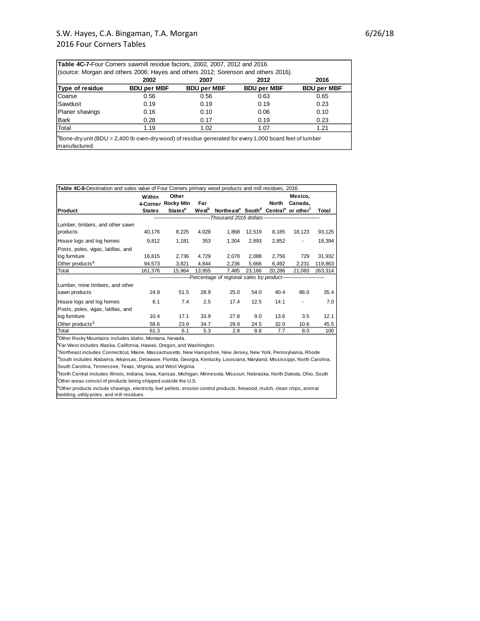| (source: Morgan and others 2006; Hayes and others 2012; Sorenson and others 2016). |                    |                    |                    |                    |  |  |  |  |
|------------------------------------------------------------------------------------|--------------------|--------------------|--------------------|--------------------|--|--|--|--|
|                                                                                    | 2002               | 2007               | 2012               | 2016               |  |  |  |  |
| Type of residue                                                                    | <b>BDU per MBF</b> | <b>BDU per MBF</b> | <b>BDU per MBF</b> | <b>BDU per MBF</b> |  |  |  |  |
| Coarse                                                                             | 0.56               | 0.56               | 0.63               | 0.65               |  |  |  |  |
| Sawdust                                                                            | 0.19               | 0.19               | 0.19               | 0.23               |  |  |  |  |
| Planer shavings                                                                    | 0.16               | 0.10               | 0.06               | 0.10               |  |  |  |  |
| Bark                                                                               | 0.28               | 0.17               | 0.19               | 0.23               |  |  |  |  |
| Total                                                                              | 1.19               | 1.02               | 1.07               | 1.21               |  |  |  |  |

manufactured.

| Table 4C-8-Destination and sales value of Four Corners primary wood products and mill residues, 2016. |                    |                                                                                   |                   |                                                                                      |        |        |                    |         |
|-------------------------------------------------------------------------------------------------------|--------------------|-----------------------------------------------------------------------------------|-------------------|--------------------------------------------------------------------------------------|--------|--------|--------------------|---------|
|                                                                                                       | Within<br>4-Corner | Other<br><b>Rocky Mtn</b>                                                         | Far               |                                                                                      |        | North  | Mexico,<br>Canada, |         |
| Product                                                                                               | <b>States</b>      | <b>States<sup>a</sup></b>                                                         | West <sup>b</sup> | Northeast <sup>c</sup> South <sup>d</sup> Central <sup>e</sup> or other <sup>f</sup> |        |        |                    | Total   |
|                                                                                                       |                    |                                                                                   |                   |                                                                                      |        |        |                    |         |
| Lumber, timbers, and other sawn                                                                       |                    |                                                                                   |                   |                                                                                      |        |        |                    |         |
| products                                                                                              | 40,176             | 8,225                                                                             | 4,028             | 1,868                                                                                | 12,519 | 8,185  | 18,123             | 93,125  |
| House logs and log homes                                                                              | 9,812              | 1,181                                                                             | 353               | 1,304                                                                                | 2,893  | 2,852  | $\blacksquare$     | 18,394  |
| Posts, poles, vigas, latillas, and                                                                    |                    |                                                                                   |                   |                                                                                      |        |        |                    |         |
| log furniture                                                                                         | 16,815             | 2,736                                                                             | 4,729             | 2,078                                                                                | 2,088  | 2,756  | 729                | 31,932  |
| Other products <sup>9</sup>                                                                           | 94.573             | 3,821                                                                             | 4.844             | 2,236                                                                                | 5,666  | 6,492  | 2,231              | 119,863 |
| Total                                                                                                 | 161,376            | 15,964                                                                            | 13,955            | 7,485                                                                                | 23,166 | 20,286 | 21,083             | 263,314 |
|                                                                                                       |                    | -------------------Percentage of regional sales by product----------------------- |                   |                                                                                      |        |        |                    |         |
| Lumber, mine timbers, and other                                                                       |                    |                                                                                   |                   |                                                                                      |        |        |                    |         |
| sawn products                                                                                         | 24.9               | 51.5                                                                              | 28.9              | 25.0                                                                                 | 54.0   | 40.4   | 86.0               | 35.4    |
| House logs and log homes                                                                              | 6.1                | 7.4                                                                               | 2.5               | 17.4                                                                                 | 12.5   | 14.1   |                    | 7.0     |
| Posts, poles, vigas, latillas, and                                                                    |                    |                                                                                   |                   |                                                                                      |        |        |                    |         |
| log furniture                                                                                         | 10.4               | 17.1                                                                              | 33.9              | 27.8                                                                                 | 9.0    | 13.6   | 3.5                | 12.1    |
| Other products <sup>9</sup>                                                                           | 58.6               | 23.9                                                                              | 34.7              | 29.9                                                                                 | 24.5   | 32.0   | 10.6               | 45.5    |
| Total                                                                                                 | 61.3               | 6.1                                                                               | 5.3               | 2.8                                                                                  | 8.8    | 7.7    | 8.0                | 100     |

<sup>a</sup>Other Rocky Mountains includes Idaho, Montana, Nevada.

<sup>b</sup>Far West includes Alaska, California, Hawaii, Oregon, and Washington.

South Carolina, Tennessee, Texas, Virginia, and West Virginia. <sup>c</sup>Northeast includes Connecticut, Maine, Massachusetts, New Hampshire, New Jersey, New York, Pennsylvania, Rhode <sup>d</sup>South includes Alabama, Arkansas, Delaware, Florida, Georgia, Kentucky, Louisiana, Maryland, Mississippi, North Carolina,<br>South Carolina, Tennessee, Texas, Virginia, and West Virginia.<br><sup>e</sup>North Central includes Illinois

 $^9$ Other products include shavings, electricity, fuel pellets, erosion control products, firewood, mulch, clean chips, animal <sup>t</sup>Other areas consist of products being shipped outside the U.S.<br><sup>9</sup>Other products include shavings, electricity, fuel pellets, erosior<br>bedding, utility poles, and mill residues.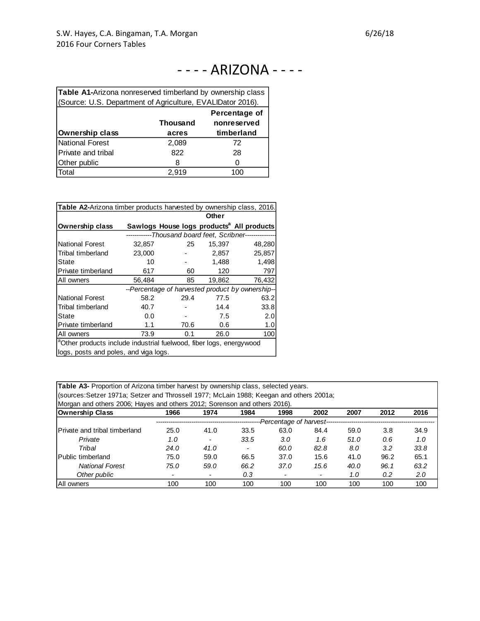# - - - - ARIZONA - - - -

| Table A1-Arizona nonreserved timberland by ownership class |       |            |  |  |  |  |  |  |  |
|------------------------------------------------------------|-------|------------|--|--|--|--|--|--|--|
| (Source: U.S. Department of Agriculture, EVALIDator 2016). |       |            |  |  |  |  |  |  |  |
| Percentage of                                              |       |            |  |  |  |  |  |  |  |
| nonreserved<br><b>Thousand</b>                             |       |            |  |  |  |  |  |  |  |
| <b>Ownership class</b>                                     | acres | timberland |  |  |  |  |  |  |  |
| <b>National Forest</b>                                     | 2,089 | 72         |  |  |  |  |  |  |  |
| Private and tribal                                         | 822   | 28         |  |  |  |  |  |  |  |
| Other public                                               | 8     | Ω          |  |  |  |  |  |  |  |
| Total                                                      | 2,919 | 100        |  |  |  |  |  |  |  |

| <b>Table A2-Arizona timber products harvested by ownership class, 2016.</b>     |                                                         |       |        |                                                       |  |  |  |
|---------------------------------------------------------------------------------|---------------------------------------------------------|-------|--------|-------------------------------------------------------|--|--|--|
|                                                                                 |                                                         | Other |        |                                                       |  |  |  |
| <b>Ownership class</b>                                                          |                                                         |       |        | Sawlogs House logs products <sup>a</sup> All products |  |  |  |
|                                                                                 | ------------Thousand board feet, Scribner-------------- |       |        |                                                       |  |  |  |
| <b>National Forest</b>                                                          | 32,857                                                  | 25    | 15,397 | 48,280                                                |  |  |  |
| Tribal timberland                                                               | 23,000                                                  |       | 2,857  | 25,857                                                |  |  |  |
| State                                                                           | 10                                                      |       | 1,488  | 1,498                                                 |  |  |  |
| Private timberland                                                              | 617                                                     | 60    | 120    | 797                                                   |  |  |  |
| All owners                                                                      | 56,484                                                  | 85    | 19,862 | 76,432                                                |  |  |  |
| --Percentage of harvested product by ownership--                                |                                                         |       |        |                                                       |  |  |  |
| <b>National Forest</b>                                                          | 58.2                                                    | 29.4  | 77.5   | 63.2                                                  |  |  |  |
| Tribal timberland                                                               | 40.7                                                    |       | 14.4   | 33.8                                                  |  |  |  |
| State                                                                           | 0.0                                                     |       | 7.5    | 2.0                                                   |  |  |  |
| Private timberland                                                              | 1.1                                                     | 70.6  | 0.6    | 1.0                                                   |  |  |  |
| All owners                                                                      | 73.9                                                    | 0.1   | 26.0   | 100                                                   |  |  |  |
| <sup>a</sup> Other products include industrial fuelwood, fiber logs, energywood |                                                         |       |        |                                                       |  |  |  |
| logs, posts and poles, and viga logs.                                           |                                                         |       |        |                                                       |  |  |  |

| Table A3- Proportion of Arizona timber harvest by ownership class, selected years.      |
|-----------------------------------------------------------------------------------------|
| (sources:Setzer 1971a; Setzer and Throssell 1977; McLain 1988; Keegan and others 2001a; |
| Morgan and others 2006; Hayes and others 2012; Sorenson and others 2016).               |

| Ownership Class                      | 1966 | 1974                     | 1984           | 1998                                          | 2002 | 2007 | 2012 | 2016 |
|--------------------------------------|------|--------------------------|----------------|-----------------------------------------------|------|------|------|------|
|                                      |      |                          |                | --Percentage of harvest---------------------- |      |      |      |      |
| <b>Private and tribal timberland</b> | 25.0 | 41.0                     | 33.5           | 63.0                                          | 84.4 | 59.0 | 3.8  | 34.9 |
| Private                              | 1.0  | $\overline{\phantom{a}}$ | 33.5           | 3.0                                           | 1.6  | 51.0 | 0.6  | 1.0  |
| Tribal                               | 24.0 | 41.0                     | $\overline{a}$ | 60.0                                          | 82.8 | 8.0  | 3.2  | 33.8 |
| <b>Public timberland</b>             | 75.0 | 59.0                     | 66.5           | 37.0                                          | 15.6 | 41.0 | 96.2 | 65.1 |
| <b>National Forest</b>               | 75.0 | 59.0                     | 66.2           | 37.0                                          | 15.6 | 40.0 | 96.1 | 63.2 |
| Other public                         |      | $\overline{\phantom{a}}$ | 0.3            |                                               |      | 1.0  | 0.2  | 2.0  |
| All owners                           | 100  | 100                      | 100            | 100                                           | 100  | 100  | 100  | 100  |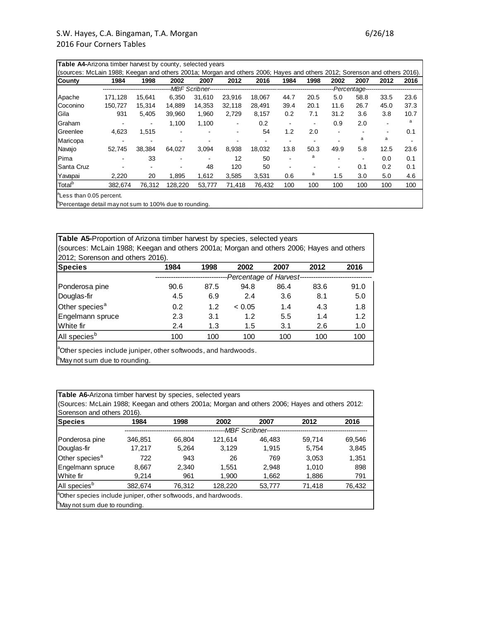| <b>Table A4-Arizona timber harvest by county, selected years</b>                                                          |                                                                      |        |         |                          |                |        |                          |                |      |      |      |      |
|---------------------------------------------------------------------------------------------------------------------------|----------------------------------------------------------------------|--------|---------|--------------------------|----------------|--------|--------------------------|----------------|------|------|------|------|
| (sources: McLain 1988; Keegan and others 2001a; Morgan and others 2006; Hayes and others 2012; Sorenson and others 2016). |                                                                      |        |         |                          |                |        |                          |                |      |      |      |      |
| County                                                                                                                    | 1984                                                                 | 1998   | 2002    | 2007                     | 2012           | 2016   | 1984                     | 1998           | 2002 | 2007 | 2012 | 2016 |
|                                                                                                                           | --Percentage--------------------------<br>-------------------------- |        |         |                          |                |        |                          |                |      |      |      |      |
| Apache                                                                                                                    | 171.128                                                              | 15.641 | 6.350   | 31.610                   | 23.916         | 18.067 | 44.7                     | 20.5           | 5.0  | 58.8 | 33.5 | 23.6 |
| Coconino                                                                                                                  | 150.727                                                              | 15.314 | 14.889  | 14.353                   | 32.118         | 28.491 | 39.4                     | 20.1           | 11.6 | 26.7 | 45.0 | 37.3 |
| Gila                                                                                                                      | 931                                                                  | 5.405  | 39.960  | 1.960                    | 2,729          | 8,157  | 0.2                      | 7.1            | 31.2 | 3.6  | 3.8  | 10.7 |
| Graham                                                                                                                    | $\blacksquare$                                                       | ۰      | 1.100   | 1,100                    | $\blacksquare$ | 0.2    | $\overline{\phantom{a}}$ | $\blacksquare$ | 0.9  | 2.0  | ۰    | a    |
| <b>Greenlee</b>                                                                                                           | 4.623                                                                | 1,515  | ۰       | $\blacksquare$           |                | 54     | 1.2                      | 2.0            | ۰    |      |      | 0.1  |
| Maricopa                                                                                                                  |                                                                      |        |         |                          |                |        |                          |                |      | a    | a    |      |
| Navajo                                                                                                                    | 52.745                                                               | 38.384 | 64,027  | 3.094                    | 8,938          | 18.032 | 13.8                     | 50.3           | 49.9 | 5.8  | 12.5 | 23.6 |
| Pima                                                                                                                      |                                                                      | 33     |         | $\overline{\phantom{0}}$ | 12             | 50     | $\blacksquare$           | a              | -    |      | 0.0  | 0.1  |
| Santa Cruz                                                                                                                |                                                                      |        |         | 48                       | 120            | 50     |                          |                | ۰    | 0.1  | 0.2  | 0.1  |
| Yavapai                                                                                                                   | 2,220                                                                | 20     | 1,895   | 1,612                    | 3,585          | 3,531  | 0.6                      | а              | 1.5  | 3.0  | 5.0  | 4.6  |
| Total <sup>b</sup>                                                                                                        | 382,674                                                              | 76,312 | 128,220 | 53,777                   | 71,418         | 76,432 | 100                      | 100            | 100  | 100  | 100  | 100  |
| <sup>la</sup> Less than 0.05 percent.                                                                                     |                                                                      |        |         |                          |                |        |                          |                |      |      |      |      |

<sup>b</sup>Percentage detail may not sum to 100% due to rounding.

| <b>Table A5-</b> Proportion of Arizona timber harvest by species, selected years<br>(sources: McLain 1988; Keegan and others 2001a; Morgan and others 2006; Hayes and others |      |      |                         |      |      |      |  |  |
|------------------------------------------------------------------------------------------------------------------------------------------------------------------------------|------|------|-------------------------|------|------|------|--|--|
| 2012; Sorenson and others 2016).                                                                                                                                             |      |      |                         |      |      |      |  |  |
| <b>Species</b>                                                                                                                                                               | 1984 | 1998 | 2002                    | 2007 | 2012 | 2016 |  |  |
|                                                                                                                                                                              |      |      | -Percentage of Harvest- |      |      |      |  |  |
| Ponderosa pine                                                                                                                                                               | 90.6 | 87.5 | 94.8                    | 86.4 | 83.6 | 91.0 |  |  |
| Douglas-fir                                                                                                                                                                  | 4.5  | 6.9  | 2.4                     | 3.6  | 8.1  | 5.0  |  |  |
| Other species <sup>a</sup>                                                                                                                                                   | 0.2  | 1.2  | < 0.05                  | 1.4  | 4.3  | 1.8  |  |  |
| Engelmann spruce                                                                                                                                                             | 2.3  | 3.1  | 1.2                     | 5.5  | 1.4  | 1.2  |  |  |
| White fir                                                                                                                                                                    | 2.4  | 1.3  | 1.5                     | 3.1  | 2.6  | 1.0  |  |  |
| All species <sup>b</sup>                                                                                                                                                     | 100  | 100  | 100                     | 100  | 100  | 100  |  |  |
| <sup>a</sup> Other species include juniper, other softwoods, and hardwoods.                                                                                                  |      |      |                         |      |      |      |  |  |
| <sup>b</sup> May not sum due to rounding.                                                                                                                                    |      |      |                         |      |      |      |  |  |

| Table A6-Arizona timber harvest by species, selected years                                     |                                           |        |                  |        |        |        |  |  |
|------------------------------------------------------------------------------------------------|-------------------------------------------|--------|------------------|--------|--------|--------|--|--|
| (Sources: McLain 1988; Keegan and others 2001a; Morgan and others 2006; Hayes and others 2012: |                                           |        |                  |        |        |        |  |  |
| Sorenson and others 2016).                                                                     |                                           |        |                  |        |        |        |  |  |
| <b>Species</b>                                                                                 | 1984                                      | 1998   | 2002             | 2007   | 2012   | 2016   |  |  |
|                                                                                                |                                           |        | --MBF Scribner-- |        |        |        |  |  |
| Ponderosa pine                                                                                 | 346,851                                   | 66.804 | 121.614          | 46,483 | 59,714 | 69,546 |  |  |
| Douglas-fir                                                                                    | 17,217                                    | 5.264  | 3.129            | 1.915  | 5,754  | 3,845  |  |  |
| Other species <sup>a</sup>                                                                     | 722                                       | 943    | 26               | 769    | 3.053  | 1.351  |  |  |
| Engelmann spruce                                                                               | 8,667                                     | 2.340  | 1.551            | 2.948  | 1.010  | 898    |  |  |
| White fir                                                                                      | 9.214                                     | 961    | 1.900            | 1,662  | 1,886  | 791    |  |  |
| All species <sup>b</sup>                                                                       | 382.674                                   | 76.312 | 128,220          | 53,777 | 71,418 | 76,432 |  |  |
| <sup>a</sup> Other species include juniper, other softwoods, and hardwoods.                    |                                           |        |                  |        |        |        |  |  |
|                                                                                                | <sup>p</sup> May not sum due to rounding. |        |                  |        |        |        |  |  |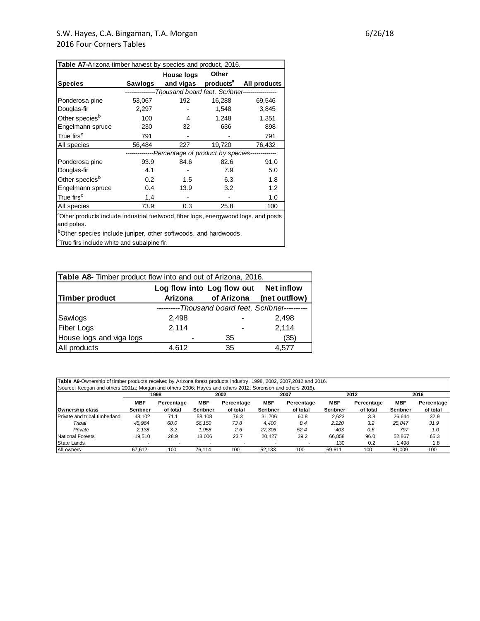| Table A7-Arizona timber harvest by species and product, 2016. |         |                                                              |                       |              |  |  |
|---------------------------------------------------------------|---------|--------------------------------------------------------------|-----------------------|--------------|--|--|
|                                                               |         | House logs                                                   | Other                 |              |  |  |
| <b>Species</b>                                                | Sawlogs | and vigas                                                    | products <sup>a</sup> | All products |  |  |
|                                                               |         | --------------Thousand board feet, Scribner----------------- |                       |              |  |  |
| Ponderosa pine                                                | 53,067  | 192                                                          | 16,288                | 69,546       |  |  |
| Douglas-fir                                                   | 2,297   |                                                              | 1,548                 | 3,845        |  |  |
| Other species <sup>b</sup>                                    | 100     | 4                                                            | 1,248                 | 1,351        |  |  |
| Engelmann spruce                                              | 230     | 32                                                           | 636                   | 898          |  |  |
| True firs $^{\rm c}$                                          | 791     |                                                              |                       | 791          |  |  |
| All species                                                   | 56,484  | 227                                                          | 19,720                | 76,432       |  |  |
|                                                               |         | --------------Percentage of product by species-------------  |                       |              |  |  |
| Ponderosa pine                                                | 93.9    | 84.6                                                         | 82.6                  | 91.0         |  |  |
| Douglas-fir                                                   | 4.1     |                                                              | 7.9                   | 5.0          |  |  |
| Other species <sup>b</sup>                                    | 0.2     | 1.5                                                          | 6.3                   | 1.8          |  |  |
| Engelmann spruce                                              | 0.4     | 13.9                                                         | 3.2                   | 1.2          |  |  |
| True firs $^\mathrm{c}$                                       | 1.4     |                                                              |                       | 1.0          |  |  |
| All species                                                   | 73.9    | 0.3                                                          | 25.8                  | 100          |  |  |

aOther products include industrial fuelwood, fiber logs, energywood logs, and posts and poles.

bOther species include juniper, other softwoods, and hardwoods.

 $\textdegree$ True firs include white and subalpine fir.

| Table A8- Timber product flow into and out of Arizona, 2016. |                                       |            |                                            |  |  |  |  |
|--------------------------------------------------------------|---------------------------------------|------------|--------------------------------------------|--|--|--|--|
|                                                              | Log flow into Log flow out Net inflow |            |                                            |  |  |  |  |
| Timber product                                               | Arizona                               | of Arizona | (net outflow)                              |  |  |  |  |
|                                                              |                                       |            | ---Thousand board feet, Scribner---------- |  |  |  |  |
| Sawlogs                                                      | 2.498                                 |            | 2.498                                      |  |  |  |  |
| <b>Fiber Logs</b>                                            | 2,114                                 |            | 2,114                                      |  |  |  |  |
| House logs and viga logs                                     |                                       | 35         | (35)                                       |  |  |  |  |
| All products                                                 | 4.612                                 | 35         | 4.577                                      |  |  |  |  |

**Table A9-**Ownership of timber products received by Arizona forest products industry, 1998, 2002, 2007,2012 and 2016. (source: Keegan and others 2001a; Morgan and others 2006; Hayes and others 2012; Sorenson and others 2016).

|                               | 1998            |            | 2002            |            | 2007            |            | 2012            |            | 2016            |            |
|-------------------------------|-----------------|------------|-----------------|------------|-----------------|------------|-----------------|------------|-----------------|------------|
|                               | <b>MBF</b>      | Percentage | <b>MBF</b>      | Percentage | <b>MBF</b>      | Percentage | MBF             | Percentage | <b>MBF</b>      | Percentage |
| Ownership class               | <b>Scribner</b> | of total   | <b>Scribner</b> | of total   | <b>Scribner</b> | of total   | <b>Scribner</b> | of total   | <b>Scribner</b> | of total   |
| Private and tribal timberland | 48.102          | 71.1       | 58.108          | 76.3       | 31.706          | 60.8       | 2,623           | 3.8        | 26.644          | 32.9       |
| Tribal                        | 45.964          | 68.0       | 56.150          | 73.8       | 4.400           | 8.4        | 2.220           | 3.2        | 25.847          | 31.9       |
| Private                       | 2.138           | 3.2        | .958            | 2.6        | 27.306          | 52.4       | 403             | 0.6        | 797             | 1.0        |
| National Forests              | 19.510          | 28.9       | 18.006          | 23.7       | 20.427          | 39.2       | 66.858          | 96.0       | 52.867          | 65.3       |
| State Lands                   |                 |            |                 |            |                 |            | 130             | 0.2        | A98,            | 1.8        |
| All owners                    | 67.612          | 100        | 76.114          | 100        | 52.133          | 100        | 69.611          | 100        | 81.009          | 100        |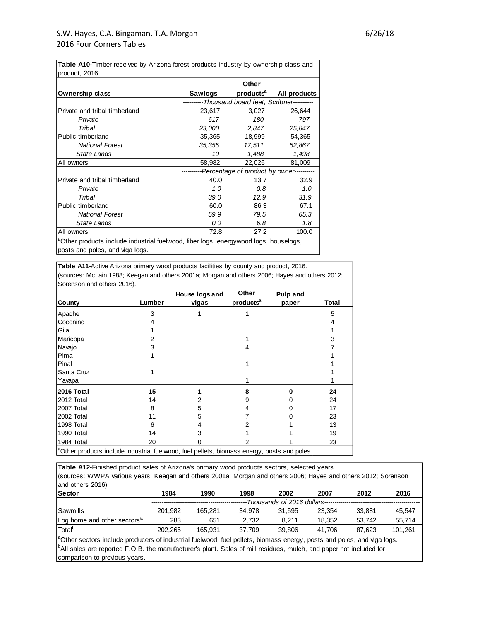| product, 2016.                                                                                   |                                                  |        |                                    |
|--------------------------------------------------------------------------------------------------|--------------------------------------------------|--------|------------------------------------|
|                                                                                                  |                                                  | Other  |                                    |
| <b>Ownership class</b>                                                                           | Sawlogs                                          |        | products <sup>a</sup> All products |
|                                                                                                  | ---------Thousand board feet, Scribner---------- |        |                                    |
| Private and tribal timberland                                                                    | 23.617                                           | 3,027  | 26,644                             |
| Private                                                                                          | 617                                              | 180    | 797                                |
| Tribal                                                                                           | 23,000                                           | 2,847  | 25,847                             |
| Public timberland                                                                                | 35,365                                           | 18,999 | 54,365                             |
| <b>National Forest</b>                                                                           | 35,355                                           | 17,511 | 52,867                             |
| State Lands                                                                                      | 10                                               | 1,488  | 1,498                              |
| All owners                                                                                       | 58,982                                           | 22,026 | 81,009                             |
|                                                                                                  | ---------Percentage of product by owner--------- |        |                                    |
| Private and tribal timberland                                                                    | 40.0                                             | 13.7   | 32.9                               |
| Private                                                                                          | 1.0                                              | 0.8    | 1.0                                |
| Tribal                                                                                           | 39.O                                             | 12.9   | 31.9                               |
| Public timberland                                                                                | 60.0                                             | 86.3   | 67.1                               |
| <b>National Forest</b>                                                                           | 59.9                                             | 79.5   | 65.3                               |
| State Lands                                                                                      | 0.0                                              | 6.8    | 1.8                                |
| All owners                                                                                       | 72.8                                             | 27.2   | 100.0                              |
| <sup>a</sup> Other products include industrial fuelwood, fiber logs, energywood logs, houselogs, |                                                  |        |                                    |

**Table A10-**Timber received by Arizona forest products industry by ownership class and

posts and poles, and viga logs.

**Table A11-**Active Arizona primary wood products facilities by county and product, 2016. (sources: McLain 1988; Keegan and others 2001a; Morgan and others 2006; Hayes and others 2012; Sorenson and others 2016).

|                                                                                                         |        | House logs and | Other                 | <b>Pulp and</b> |       |
|---------------------------------------------------------------------------------------------------------|--------|----------------|-----------------------|-----------------|-------|
| <b>County</b>                                                                                           | Lumber | vigas          | products <sup>a</sup> | paper           | Total |
| Apache                                                                                                  | 3      |                |                       |                 | 5     |
| Coconino                                                                                                |        |                |                       |                 |       |
| Gila                                                                                                    |        |                |                       |                 |       |
| Maricopa                                                                                                |        |                |                       |                 | 3     |
| Navajo                                                                                                  | 3      |                |                       |                 |       |
| Pima                                                                                                    |        |                |                       |                 |       |
| Pinal                                                                                                   |        |                |                       |                 |       |
| Santa Cruz                                                                                              |        |                |                       |                 |       |
| Yavapai                                                                                                 |        |                |                       |                 |       |
| 2016 Total                                                                                              | 15     |                | 8                     | Λ               | 24    |
| 2012 Total                                                                                              | 14     | 2              | 9                     |                 | 24    |
| 2007 Total                                                                                              | 8      | 5              | 4                     |                 | 17    |
| 2002 Total                                                                                              | 11     | 5              |                       |                 | 23    |
| 1998 Total                                                                                              | 6      | 4              |                       |                 | 13    |
| 1990 Total                                                                                              | 14     | 3              |                       |                 | 19    |
| 1984 Total                                                                                              | 20     |                | 2                     |                 | 23    |
| <sup>a</sup> Other products include industrial fuelwood, fuel pellets, biomass energy, posts and poles. |        |                |                       |                 |       |

**Table A12-**Finished product sales of Arizona's primary wood products sectors, selected years. (sources: WWPA various years; Keegan and others 2001a; Morgan and others 2006; Hayes and others 2012; Sorenson and others 2016).

| <b>Sector</b>                                                                                                                   | 1984    | 1990                        | 1998   | 2002   | 2007   | 2012   | 2016    |  |  |
|---------------------------------------------------------------------------------------------------------------------------------|---------|-----------------------------|--------|--------|--------|--------|---------|--|--|
|                                                                                                                                 |         | -Thousands of 2016 dollars- |        |        |        |        |         |  |  |
| Sawmills                                                                                                                        | 201.982 | 165.281                     | 34.978 | 31.595 | 23.354 | 33.881 | 45.547  |  |  |
| Log home and other sectors <sup>a</sup>                                                                                         | 283     | 651                         | 2,732  | 8,211  | 18.352 | 53.742 | 55,714  |  |  |
| Total <sup>b</sup>                                                                                                              | 202.265 | 165.931                     | 37.709 | 39.806 | 41.706 | 87.623 | 101,261 |  |  |
| $\beta$ Other sectors include producers of industrial fuelwood, fuel pellets, biomass energy, posts and poles, and viga logs.   |         |                             |        |        |        |        |         |  |  |
| <sup>16</sup> All sales are reported F.O.B. the manufacturer's plant. Sales of mill residues, mulch, and paper not included for |         |                             |        |        |        |        |         |  |  |
| comparison to previous years.                                                                                                   |         |                             |        |        |        |        |         |  |  |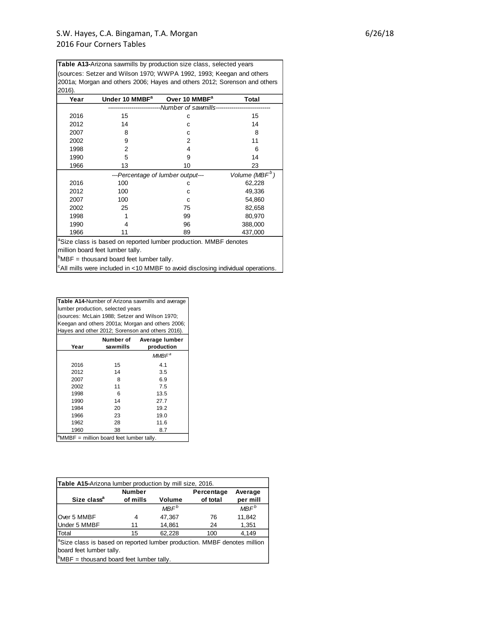**Table A13-**Arizona sawmills by production size class, selected years

| 2016). | (sources: Setzer and Wilson 1970; WWPA 1992, 1993; Keegan and others<br>2001a; Morgan and others 2006; Hayes and others 2012; Sorenson and others |                                             |                            |
|--------|---------------------------------------------------------------------------------------------------------------------------------------------------|---------------------------------------------|----------------------------|
| Year   | Under 10 MMBF <sup>a</sup>                                                                                                                        | Over 10 MMBF <sup>a</sup>                   | Total                      |
|        |                                                                                                                                                   | -Number of sawmills------------------------ |                            |
| 2016   | 15                                                                                                                                                | с                                           | 15                         |
| 2012   | 14                                                                                                                                                | C                                           | 14                         |
| 2007   | 8                                                                                                                                                 | с                                           | 8                          |
| 2002   | 9                                                                                                                                                 | 2                                           | 11                         |
| 1998   | 2                                                                                                                                                 | 4                                           | 6                          |
| 1990   | 5                                                                                                                                                 | 9                                           | 14                         |
| 1966   | 13                                                                                                                                                | 10                                          | 23                         |
|        | ---Percentage of lumber output---                                                                                                                 |                                             | Volume (MBF <sup>b</sup> ) |
| 2016   | 100                                                                                                                                               | с                                           | 62,228                     |
| 2012   | 100                                                                                                                                               | C                                           | 49,336                     |
| 2007   | 100                                                                                                                                               | C                                           | 54,860                     |
| 2002   | 25                                                                                                                                                | 75                                          | 82,658                     |
| 1998   |                                                                                                                                                   | 99                                          | 80,970                     |
| 1990   | 4                                                                                                                                                 | 96                                          | 388,000                    |
| 1966   | 11                                                                                                                                                | 89                                          | 437,000                    |
|        | <sup>a</sup> Size class is based on reported lumber production. MMBF denotes<br>million board feet lumber tally.                                  |                                             |                            |

 $\mu$ MBF = thousand board feet lumber tally.

 $\vert^{\circ}$ All mills were included in <10 MMBF to avoid disclosing individual operations.

**Table A14-**Number of Arizona sawmills and average lumber production, selected years (sources: McLain 1988; Setzer and Wilson 1970; Keegan and others 2001a; Morgan and others 2006; Hayes and other 2012; Sorenson and others 2016).

| Year | Number of<br>sawmills                                | Average lumber<br>production |
|------|------------------------------------------------------|------------------------------|
|      |                                                      | $MMBF^a$                     |
| 2016 | 15                                                   | 4.1                          |
| 2012 | 14                                                   | 3.5                          |
| 2007 | 8                                                    | 6.9                          |
| 2002 | 11                                                   | 7.5                          |
| 1998 | 6                                                    | 13.5                         |
| 1990 | 14                                                   | 27.7                         |
| 1984 | 20                                                   | 19.2                         |
| 1966 | 23                                                   | 19.0                         |
| 1962 | 28                                                   | 11.6                         |
| 1960 | 38                                                   | 8.7                          |
|      | <sup>a</sup> MMBF = million board feet lumber tally. |                              |

| Table A15-Arizona lumber production by mill size, 2016.                                                          |               |                  |            |                  |  |  |  |
|------------------------------------------------------------------------------------------------------------------|---------------|------------------|------------|------------------|--|--|--|
|                                                                                                                  | <b>Number</b> |                  | Percentage | Average          |  |  |  |
| Size class <sup>a</sup>                                                                                          | of mills      | Volume           | of total   | per mill         |  |  |  |
|                                                                                                                  |               | MBF <sup>b</sup> |            | MBF <sup>b</sup> |  |  |  |
| Over 5 MMBF                                                                                                      | 4             | 47,367           | 76         | 11,842           |  |  |  |
| Under 5 MMBF                                                                                                     | 11            | 14,861           | 24         | 1,351            |  |  |  |
| Total                                                                                                            | 15            | 62,228           | 100        | 4.149            |  |  |  |
| <sup>a</sup> Size class is based on reported lumber production. MMBF denotes million<br>board feet lumber tally. |               |                  |            |                  |  |  |  |
| $\beta$ MBF = thousand board feet lumber tally.                                                                  |               |                  |            |                  |  |  |  |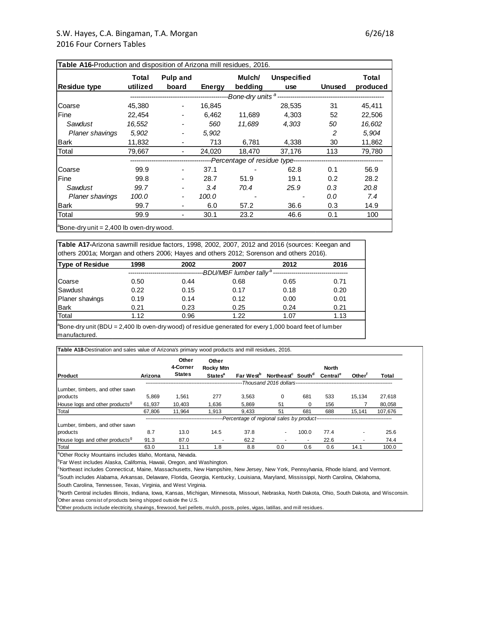| Table A16-Production and disposition of Arizona mill residues, 2016. |                   |                                    |        |                   |                                                                        |               |                   |
|----------------------------------------------------------------------|-------------------|------------------------------------|--------|-------------------|------------------------------------------------------------------------|---------------|-------------------|
| <b>Residue type</b>                                                  | Total<br>utilized | Pulp and<br>board                  | Energy | Mulch/<br>bedding | <b>Unspecified</b><br>use                                              | <b>Unused</b> | Total<br>produced |
|                                                                      |                   | ---------------------------------- |        |                   |                                                                        |               |                   |
| Coarse                                                               | 45,380            | $\overline{\phantom{a}}$           | 16,845 |                   | 28,535                                                                 | 31            | 45,411            |
| Fine                                                                 | 22,454            | ٠                                  | 6,462  | 11,689            | 4,303                                                                  | 52            | 22,506            |
| Sawdust                                                              | 16,552            | $\overline{\phantom{a}}$           | 560    | 11.689            | 4,303                                                                  | 50            | 16,602            |
| <b>Planer shavings</b>                                               | 5,902             | $\overline{\phantom{a}}$           | 5,902  |                   |                                                                        | 2             | 5,904             |
| <b>Bark</b>                                                          | 11,832            | ٠                                  | 713    | 6,781             | 4,338                                                                  | 30            | 11,862            |
| Total                                                                | 79.667            | $\overline{\phantom{a}}$           | 24.020 | 18.470            | 37,176                                                                 | 113           | 79,780            |
|                                                                      |                   |                                    |        |                   | -----------------------------Percentage of residue type--------------- |               |                   |
| Coarse                                                               | 99.9              | ٠                                  | 37.1   |                   | 62.8                                                                   | 0.1           | 56.9              |
| Fine                                                                 | 99.8              |                                    | 28.7   | 51.9              | 19.1                                                                   | 0.2           | 28.2              |
| Sawdust                                                              | 99.7              |                                    | 3.4    | 70.4              | 25.9                                                                   | 0.3           | 20.8              |
| <b>Planer shavings</b>                                               | 100.0             | -                                  | 100.0  |                   |                                                                        | 0.0           | 7.4               |
| <b>Bark</b>                                                          | 99.7              |                                    | 6.0    | 57.2              | 36.6                                                                   | 0.3           | 14.9              |
| Total                                                                | 99.9              | ٠                                  | 30.1   | 23.2              | 46.6                                                                   | 0.1           | 100               |
| $^{\circ}$ Bone-dry unit = 2,400 lb oven-dry wood.                   |                   |                                    |        |                   |                                                                        |               |                   |

**Table A17-**Arizona sawmill residue factors, 1998, 2002, 2007, 2012 and 2016 (sources: Keegan and others 2001a; Morgan and others 2006; Hayes and others 2012; Sorenson and others 2016).

| <b>Type of Residue</b> | 1998 | 2002 | 2007                               | 2012 | 2016 |
|------------------------|------|------|------------------------------------|------|------|
|                        |      |      | -BDU/MBF lumber tally <sup>a</sup> |      |      |
| Coarse                 | 0.50 | 0.44 | 0.68                               | 0.65 | 0.71 |
| Sawdust                | 0.22 | 0.15 | 0.17                               | 0.18 | 0.20 |
| Planer shavings        | 0.19 | 0.14 | 0.12                               | 0.00 | 0.01 |
| Bark                   | 0.21 | 0.23 | 0.25                               | 0.24 | 0.21 |
| Total                  | 1.12 | 0.96 | 1.22                               | 1.07 | 1.13 |

 ${}^{18}$ Bone-dry unit (BDU = 2,400 lb oven-dry wood) of residue generated for every 1,000 board feet of lumber manufactured.

**Table A18-**Destination and sales value of Arizona's primary wood products and mill residues, 2016.

|                                            |         | Other<br>4-Corner | Other<br><b>Rocky Mtn</b> |                                                                |                                                  |                          | <b>North</b>         |                    |         |
|--------------------------------------------|---------|-------------------|---------------------------|----------------------------------------------------------------|--------------------------------------------------|--------------------------|----------------------|--------------------|---------|
| Product                                    | Arizona | <b>States</b>     | <b>States<sup>a</sup></b> | Far West <sup>b</sup>                                          | Northeast <sup>c</sup> South <sup>d</sup>        |                          | Central <sup>e</sup> | Other <sup>t</sup> | Total   |
|                                            |         |                   |                           |                                                                | --Thousand 2016 dollars------------------------- |                          |                      |                    |         |
| Lumber, timbers, and other sawn            |         |                   |                           |                                                                |                                                  |                          |                      |                    |         |
| products                                   | 5.869   | 1.561             | 277                       | 3.563                                                          | 0                                                | 681                      | 533                  | 15.134             | 27.618  |
| House logs and other products <sup>9</sup> | 61.937  | 10.403            | 1.636                     | 5.869                                                          | 51                                               | $\Omega$                 | 156                  |                    | 80,058  |
| Total                                      | 67.806  | 11.964            | 1.913                     | 9.433                                                          | 51                                               | 681                      | 688                  | 15.141             | 107,676 |
|                                            |         |                   |                           | ---Percentage of regional sales by product-------------------- |                                                  |                          |                      |                    |         |
| Lumber, timbers, and other sawn            |         |                   |                           |                                                                |                                                  |                          |                      |                    |         |
| products                                   | 8.7     | 13.0              | 14.5                      | 37.8                                                           | ٠                                                | 100.0                    | 77.4                 |                    | 25.6    |
| House logs and other products <sup>9</sup> | 91.3    | 87.0              |                           | 62.2                                                           |                                                  | $\overline{\phantom{a}}$ | 22.6                 |                    | 74.4    |
| Total                                      | 63.0    | 11.1              | 1.8                       | 8.8                                                            | 0.0                                              | 0.6                      | 0.6                  | 14.1               | 100.0   |

aOther Rocky Mountains includes Idaho, Montana, Nevada.

<sup>b</sup>Far West includes Alaska, California, Hawaii, Oregon, and Washington.

<sup>d</sup>South includes Alabama, Arkansas, Delaware, Florida, Georgia, Kentucky, Louisiana, Maryland, Mississippi, North Carolina, Oklahoma, <sup>c</sup>Northeast includes Connecticut, Maine, Massachusetts, New Hampshire, New Jersey, New York, Pennsylvania, Rhode Island, and Vermont.<br><sup>d</sup>South includes Alabama, Arkansas, Delaware, Florida, Georgia, Kentucky, Louisiana, M

South Carolina, Tennessee, Texas, Virginia, and West Virginia.

eNorth Central includes Illinois, Indiana, Iowa, Kansas, Michigan, Minnesota, Missouri, Nebraska, North Dakota, Ohio, South Dakota, and Wisconsin.

 $<sup>9</sup> Other products include electricity, shavings, firewall, fuel pellets, multch, posts, poles, vigas, latillas, and mill residues.$ </sup>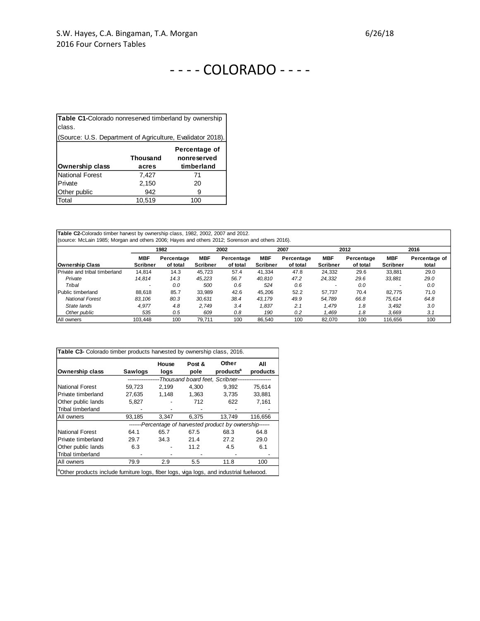| <b>Table C1-Colorado nonreserved timberland by ownership</b><br>class. |                          |                                            |  |  |  |  |  |  |  |
|------------------------------------------------------------------------|--------------------------|--------------------------------------------|--|--|--|--|--|--|--|
| (Source: U.S. Department of Agriculture, Evalidator 2018).             |                          |                                            |  |  |  |  |  |  |  |
| Ownership class                                                        | <b>Thousand</b><br>acres | Percentage of<br>nonreserved<br>timberland |  |  |  |  |  |  |  |
| <b>National Forest</b>                                                 | 7.427                    | 71                                         |  |  |  |  |  |  |  |
| Private                                                                | 2,150                    | 20                                         |  |  |  |  |  |  |  |
| Other public                                                           | 942                      | 9                                          |  |  |  |  |  |  |  |
| Total                                                                  | 10.519                   | 100                                        |  |  |  |  |  |  |  |

**Table C2-**Colorado timber harvest by ownership class, 1982, 2002, 2007 and 2012. (source: McLain 1985; Morgan and others 2006; Hayes and others 2012; Sorenson and others 2016).

|                               |                 | 1982       |                 | 2002       |                 | 2007       |                 | 2012       |                 | 2016          |
|-------------------------------|-----------------|------------|-----------------|------------|-----------------|------------|-----------------|------------|-----------------|---------------|
|                               | MBF             | Percentage | <b>MBF</b>      | Percentage | MBF             | Percentage | <b>MBF</b>      | Percentage | MBF             | Percentage of |
| <b>Ownership Class</b>        | <b>Scribner</b> | of total   | <b>Scribner</b> | of total   | <b>Scribner</b> | of total   | <b>Scribner</b> | of total   | <b>Scribner</b> | total         |
| Private and tribal timberland | 14.814          | 14.3       | 45.723          | 57.4       | 41.334          | 47.8       | 24.332          | 29.6       | 33.881          | 29.0          |
| Private                       | 14.814          | 14.3       | 45.223          | 56.7       | 40.810          | 47.2       | 24,332          | 29.6       | 33,881          | 29.0          |
| Tribal                        |                 | 0.0        | 500             | 0.6        | 524             | 0.6        |                 | 0.0        |                 | 0.0           |
| Public timberland             | 88.618          | 85.7       | 33.989          | 42.6       | 45.206          | 52.2       | 57.737          | 70.4       | 82.775          | 71.0          |
| <b>National Forest</b>        | 83.106          | 80.3       | 30.631          | 38.4       | 43.179          | 49.9       | 54.789          | 66.8       | 75.614          | 64.8          |
| State lands                   | 4.977           | 4.8        | 2.749           | 3.4        | 1.837           | 2.1        | 1.479           | 1.8        | 3.492           | 3.0           |
| Other public                  | 535             | 0.5        | 609             | 0.8        | 190             | 0.2        | 1.469           | 1.8        | 3.669           | 3.1           |
| All owners                    | 103.448         | 100        | 79.711          | 100        | 86.540          | 100        | 82.070          | 100        | 116.656         | 100           |

| <b>Ownership class</b>   | Sawlogs | House<br>logs | Post &<br>pole | Other<br>products <sup>a</sup>                            | All<br>products |
|--------------------------|---------|---------------|----------------|-----------------------------------------------------------|-----------------|
|                          |         |               |                | -Thousand board feet. Scribner------------------          |                 |
| National Forest          | 59,723  | 2,199         | 4,300          | 9,392                                                     | 75,614          |
| Private timberland       | 27,635  | 1,148         | 1,363          | 3,735                                                     | 33,881          |
| Other public lands       | 5,827   |               | 712            | 622                                                       | 7,161           |
| <b>Tribal timberland</b> |         |               |                |                                                           |                 |
| All owners               | 93,185  | 3.347         | 6.375          | 13.749                                                    | 116.656         |
|                          |         |               |                | -------Percentage of harvested product by ownership------ |                 |
| National Forest          | 64.1    | 65.7          | 67.5           | 68.3                                                      | 64.8            |
| Private timberland       | 29.7    | 34.3          | 21.4           | 27.2                                                      | 29.0            |
| Other public lands       | 6.3     |               | 11.2           | 4.5                                                       | 6.1             |
| <b>Tribal timberland</b> |         |               |                |                                                           |                 |
| All owners               | 79.9    | 2.9           | 5.5            | 11.8                                                      | 100             |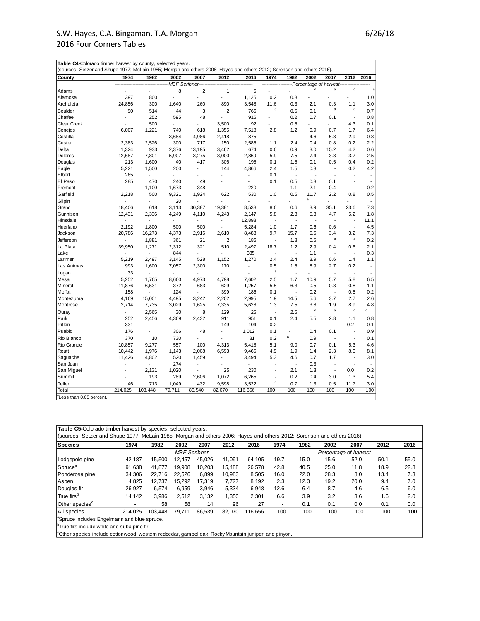| Table C4-Colorado timber harvest by county, selected years.                                                             |               |                          |                |                |                |                          |                          |      |                        |                          |                          |                          |
|-------------------------------------------------------------------------------------------------------------------------|---------------|--------------------------|----------------|----------------|----------------|--------------------------|--------------------------|------|------------------------|--------------------------|--------------------------|--------------------------|
| (sources: Setzer and Shupe 1977; McLain 1985; Morgan and others 2006; Hayes and others 2012; Sorenson and others 2016). |               |                          |                |                |                |                          |                          |      |                        |                          |                          |                          |
| County                                                                                                                  | 1974          | 1982                     | 2002           | 2007           | 2012           | 2016                     | 1974                     | 1982 | 2002                   | 2007                     | 2012                     | 2016                     |
|                                                                                                                         |               |                          | MBF Scribner-  |                |                |                          |                          |      | Percentage of harvest- |                          |                          |                          |
| Adams                                                                                                                   |               |                          | 8              | 2              | 1              | 5                        |                          |      | a                      | a                        | $\mathsf a$              |                          |
| Alamosa                                                                                                                 | 397           | 800                      | $\overline{a}$ |                | $\overline{a}$ | 1,125                    | 0.2                      | 0.8  |                        |                          |                          | 1.0                      |
| Archuleta                                                                                                               | 24,856        | 300                      | 1,640          | 260            | 890            | 3,548                    | 11.6                     | 0.3  | 2.1                    | 0.3                      | 1.1                      | 3.0                      |
| Boulder                                                                                                                 | 90            | 514                      | 44             | 3              | $\overline{2}$ | 766                      | a                        | 0.5  | 0.1                    | a                        | a                        | 0.7                      |
| Chaffee                                                                                                                 |               | 252                      | 595            | 48             |                | 915                      | $\overline{a}$           | 0.2  | 0.7                    | 0.1                      | $\overline{\phantom{a}}$ | 0.8                      |
| <b>Clear Creek</b>                                                                                                      |               | 500                      |                |                | 3,500          | 92                       |                          | 0.5  |                        |                          | 4.3                      | 0.1                      |
| Conejos                                                                                                                 | 6,007         | 1,221                    | 740            | 618            | 1,355          | 7,518                    | 2.8                      | 1.2  | 0.9                    | 0.7                      | 1.7                      | 6.4                      |
| Costilla                                                                                                                |               |                          | 3,684          | 4,986          | 2,418          | 875                      | ÷,                       |      | 4.6                    | 5.8                      | 2.9                      | 0.8                      |
| Custer                                                                                                                  | 2,383         | 2,526                    | 300            | 717            | 150            | 2,585                    | 1.1                      | 2.4  | 0.4                    | 0.8                      | 0.2                      | 2.2                      |
| Delta                                                                                                                   | 1,324         | 933                      | 2,376          | 13,195         | 3,462          | 674                      | 0.6                      | 0.9  | 3.0                    | 15.2                     | 4.2                      | 0.6                      |
| Dolores                                                                                                                 | 12,687        | 7,801                    | 5,907          | 3,275          | 3,000          | 2,869                    | 5.9                      | 7.5  | 7.4                    | 3.8                      | 3.7                      | 2.5                      |
| Douglas                                                                                                                 | 213           | 1,600                    | 40             | 417            | 306            | 195                      | 0.1                      | 1.5  | 0.1                    | 0.5                      | 0.4                      | 0.2                      |
| Eagle                                                                                                                   | 5,221         | 1,500                    | 200            | $\overline{a}$ | 144            | 4,866                    | 2.4                      | 1.5  | 0.3                    | L,                       | 0.2                      | 4.2                      |
| Elbert                                                                                                                  | 265           |                          |                |                |                |                          | 0.1                      |      |                        |                          |                          |                          |
| El Paso                                                                                                                 | 285           | 470                      | 240            | 49             |                | $\overline{\phantom{a}}$ | 0.1                      | 0.5  | 0.3                    | 0.1                      | $\overline{\phantom{a}}$ | $\overline{a}$           |
| Fremont                                                                                                                 |               | 1,100                    | 1,673          | 348            |                | 220                      | ÷                        | 1.1  | 2.1                    | 0.4                      | ÷,                       | 0.2                      |
| Garfield                                                                                                                | 2,218         | 500                      | 9,321          | 1,924          | 622            | 530                      | 1.0                      | 0.5  | 11.7                   | 2.2                      | 0.8                      | 0.5                      |
| Gilpin                                                                                                                  |               |                          | 20             |                |                |                          |                          |      | a                      |                          |                          | $\overline{\phantom{a}}$ |
| Grand                                                                                                                   | 18,406        | 618                      | 3,113          | 30,387         | 19,381         | 8,538                    | 8.6                      | 0.6  | 3.9                    | 35.1                     | 23.6                     | 7.3                      |
| Gunnison                                                                                                                | 12,431        | 2,336                    | 4,249          | 4,110          | 4,243          | 2,147                    | 5.8                      | 2.3  | 5.3                    | 4.7                      | 5.2                      | 1.8                      |
| Hinsdale                                                                                                                |               |                          |                |                |                | 12,898                   | $\overline{\phantom{a}}$ |      |                        |                          | $\overline{a}$           | 11.1                     |
| Huerfano                                                                                                                | 2,192         | 1,800                    | 500            | 500            | $\overline{a}$ | 5,284                    | 1.0                      | 1.7  | 0.6                    | 0.6                      | $\overline{\phantom{a}}$ | 4.5                      |
| Jackson                                                                                                                 | 20,786        | 16,273                   | 4,373          | 2,916          | 2,610          | 8,483                    | 9.7                      | 15.7 | 5.5                    | 3.4                      | 3.2                      | 7.3                      |
| Jefferson                                                                                                               |               | 1,881                    | 361            | 21             | $\overline{2}$ | 186                      | $\overline{\phantom{a}}$ | 1.8  | 0.5                    | a                        | $\mathsf{a}$             | 0.2                      |
| La Plata                                                                                                                | 39,950        | 1,271                    | 2,312          | 321            | 510            | 2,497                    | 18.7                     | 1.2  | 2.9                    | 0.4                      | 0.6                      | 2.1                      |
| Lake                                                                                                                    |               | $\blacksquare$           | 844            | $\overline{a}$ |                | 335                      | Ĭ.                       |      | 1.1                    | $\overline{a}$           | $\overline{\phantom{a}}$ | 0.3                      |
| Larimer                                                                                                                 | 5,219         | 2,497                    | 3,145          | 528            | 1,152          | 1,270                    | 2.4                      | 2.4  | 3.9                    | 0.6                      | 1.4                      | 1.1                      |
| Las Animas                                                                                                              | 993           | 1,600                    | 7,057          | 2,300          | 170            |                          | 0.5                      | 1.5  | 8.9                    | 2.7                      | 0.2                      | $\overline{\phantom{a}}$ |
| Logan                                                                                                                   | 33            | $\blacksquare$           | $\overline{a}$ | $\overline{a}$ | $\overline{a}$ | ÷.                       | a                        |      | $\overline{a}$         | $\overline{a}$           | $\overline{a}$           | $\overline{\phantom{a}}$ |
| Mesa                                                                                                                    | 5,252         | 1,765                    | 8,660          | 4,973          | 4,798          | 7,602                    | 2.5                      | 1.7  | 10.9                   | 5.7                      | 5.8                      | 6.5                      |
| Mineral                                                                                                                 | 11,876        | 6,531                    | 372            | 683            | 629            | 1,257                    | 5.5                      | 6.3  | 0.5                    | 0.8                      | 0.8                      | 1.1                      |
| Moffat                                                                                                                  | 158           | $\overline{\phantom{a}}$ | 124            | $\overline{a}$ | 399            | 186                      | 0.1                      | ÷.   | 0.2                    | $\overline{a}$           | 0.5                      | 0.2                      |
| Montezuma                                                                                                               | 4,169         | 15,001                   | 4,495          | 3,242          | 2,202          | 2,995                    | 1.9                      | 14.5 | 5.6                    | 3.7                      | 2.7                      | 2.6                      |
| Montrose                                                                                                                | 2,714         | 7,735                    | 3,029          | 1,625          | 7,335          | 5,628                    | 1.3                      | 7.5  | 3.8                    | 1.9                      | 8.9                      | 4.8                      |
| Ouray                                                                                                                   | $\frac{1}{2}$ | 2,565                    | 30             | 8              | 129            | 25                       | $\overline{\phantom{a}}$ | 2.5  | a                      | a                        | a                        | a                        |
| Park                                                                                                                    | 252           | 2,456                    | 4,369          | 2,432          | 911            | 951                      | 0.1                      | 2.4  | 5.5                    | 2.8                      | 1.1                      | 0.8                      |
| Pitkin                                                                                                                  | 331           | $\overline{\phantom{a}}$ |                |                | 149            | 104                      | 0.2                      |      |                        |                          | 0.2                      | 0.1                      |
| Pueblo                                                                                                                  | 176           | $\overline{a}$           | 306            | 48             | $\overline{a}$ | 1,012                    | 0.1                      |      | 0.4                    | 0.1                      | ÷,                       | 0.9                      |
| Rio Blanco                                                                                                              | 370           | 10                       | 730            |                |                | 81                       | 0.2                      | a    | 0.9                    | L,                       | $\blacksquare$           | 0.1                      |
| Rio Grande                                                                                                              | 10,857        | 9,277                    | 557            | 100            | 4,313          | 5,418                    | 5.1                      | 9.0  | 0.7                    | 0.1                      | 5.3                      | 4.6                      |
| Routt                                                                                                                   | 10,442        | 1,976                    | 1,143          | 2,008          | 6,593          | 9,465                    | 4.9                      | 1.9  | 1.4                    | 2.3                      | 8.0                      | 8.1                      |
| Saguache                                                                                                                | 11,426        | 4,802                    | 520            | 1,459          | $\overline{a}$ | 3,494                    | 5.3                      | 4.6  | 0.7                    | 1.7                      | $\overline{\phantom{a}}$ | 3.0                      |
| San Juan                                                                                                                |               |                          | 274            |                |                |                          |                          |      | 0.3                    |                          |                          |                          |
| San Miguel                                                                                                              |               | 2,131                    | 1,020          | $\overline{a}$ | 25             | 230                      | $\overline{\phantom{a}}$ | 2.1  | 1.3                    | $\overline{\phantom{a}}$ | 0.0                      | 0.2                      |
| Summit                                                                                                                  |               | 193                      | 289            | 2,606          | 1,072          | 6,265                    | ÷,                       | 0.2  | 0.4                    | 3.0                      | 1.3                      | 5.4                      |
| Teller                                                                                                                  | 46            | 713                      | 1,049          | 432            | 9,598          | 3,522                    | a                        | 0.7  | 1.3                    | 0.5                      | 11.7                     | 3.0                      |
| Total                                                                                                                   | 214,025       | 103,448                  | 79,711         | 86,540         | 82,070         | 116,656                  | 100                      | 100  | 100                    | 100                      | 100                      | 100                      |
| <sup>a</sup> Less than 0.05 percent.                                                                                    |               |                          |                |                |                |                          |                          |      |                        |                          |                          |                          |

| Species                    | 1974                     | 1982    | 2002   | 2007   | 2012                                          | 2016    | 1974                     | 1982 | 2002 | 2007 | 2012                                  | 2016 |
|----------------------------|--------------------------|---------|--------|--------|-----------------------------------------------|---------|--------------------------|------|------|------|---------------------------------------|------|
|                            |                          |         |        |        | -MBF Scribner-------------------------------- |         |                          |      |      |      | Percentage of harvest---------------- |      |
| Lodgepole pine             | 42.187                   | 15.500  | 12.457 | 45.026 | 41.091                                        | 64.105  | 19.7                     | 15.0 | 15.6 | 52.0 | 50.1                                  | 55.0 |
| Spruce <sup>a</sup>        | 91.638                   | 41.877  | 19.908 | 10.203 | 15.488                                        | 26,578  | 42.8                     | 40.5 | 25.0 | 11.8 | 18.9                                  | 22.8 |
| Ponderosa pine             | 34,306                   | 22,716  | 22.526 | 6,899  | 10,983                                        | 8,505   | 16.0                     | 22.0 | 28.3 | 8.0  | 13.4                                  | 7.3  |
| Aspen                      | 4.825                    | 12.737  | 15.292 | 17.319 | 7.727                                         | 8,192   | 2.3                      | 12.3 | 19.2 | 20.0 | 9.4                                   | 7.0  |
| Douglas-fir                | 26.927                   | 6,574   | 6,959  | 3,946  | 5,334                                         | 6,948   | 12.6                     | 6.4  | 8.7  | 4.6  | 6.5                                   | 6.0  |
| True firs <sup>b</sup>     | 14.142                   | 3,986   | 2.512  | 3.132  | 1,350                                         | 2,301   | 6.6                      | 3.9  | 3.2  | 3.6  | 1.6                                   | 2.0  |
| Other species <sup>c</sup> | $\overline{\phantom{a}}$ | 58      | 58     | 14     | 96                                            | 27      | $\overline{\phantom{a}}$ | 0.1  | 0.1  | 0.0  | 0.1                                   | 0.0  |
| All species                | 214.025                  | 103.448 | 79.711 | 86,539 | 82.070                                        | 116.656 | 100                      | 100  | 100  | 100  | 100                                   | 100  |

c<sub>Other species include cottonwood, western redcedar, gambel oak, Rocky Mountain juniper, and pinyon.</sub>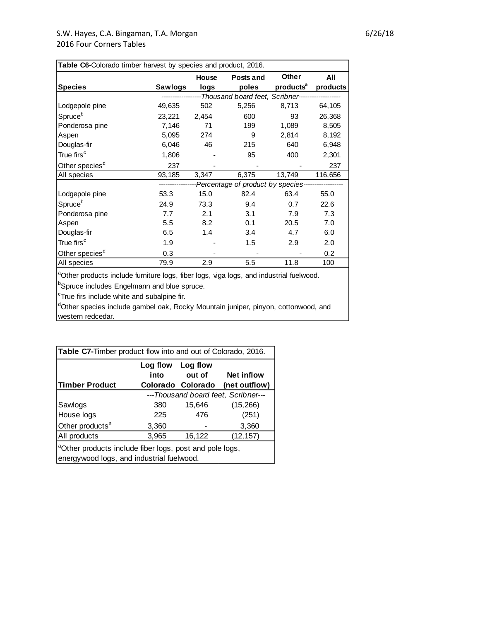|                            |              | House | Posts and                                                        | Other                 | All      |
|----------------------------|--------------|-------|------------------------------------------------------------------|-----------------------|----------|
| <b>Species</b>             | Sawlogs      | logs  | poles                                                            | products <sup>a</sup> | products |
|                            |              |       | -----------------Thousand board feet, Scribner------------------ |                       |          |
| Lodgepole pine             | 49,635       | 502   | 5,256                                                            | 8,713                 | 64,105   |
| Spruceb                    | 23,221 2,454 |       | 600                                                              | 93                    | 26,368   |
| Ponderosa pine             | 7,146        | 71    | 199                                                              | 1,089                 | 8,505    |
| Aspen                      | 5,095        | 274   | 9                                                                | 2,814                 | 8,192    |
| Douglas-fir                | 6,046        | 46    | 215                                                              | 640                   | 6,948    |
| True firs <sup>c</sup>     | 1,806        |       | 95                                                               | 400                   | 2,301    |
| Other species <sup>d</sup> | 237          |       |                                                                  |                       | 237      |
| All species                | 93,185       | 3,347 | 6,375                                                            | 13,749                | 116,656  |
|                            |              |       | -Percentage of product by species---------------                 |                       |          |
| Lodgepole pine             | 53.3         | 15.0  | 82.4                                                             | 63.4                  | 55.0     |
| Spruce <sup>b</sup>        | 24.9         | 73.3  | 9.4                                                              | 0.7                   | 22.6     |
| Ponderosa pine             | 7.7          | 2.1   | 3.1                                                              | 7.9                   | 7.3      |
| Aspen                      | 5.5          | 8.2   | 0.1                                                              | 20.5                  | 7.0      |
| Douglas-fir                | 6.5          | 1.4   | 3.4                                                              | 4.7                   | 6.0      |
| True firs <sup>c</sup>     | 1.9          |       | 1.5                                                              | 2.9                   | 2.0      |
| Other species <sup>d</sup> | 0.3          |       |                                                                  |                       | 0.2      |
| All species                | 79.9         | 2.9   | 5.5                                                              | 11.8                  | 100      |

**bSpruce includes Engelmann and blue spruce.** 

<sup>c</sup>True firs include white and subalpine fir.

dOther species include gambel oak, Rocky Mountain juniper, pinyon, cottonwood, and western redcedar.

| Table C7-Timber product flow into and out of Colorado, 2016.                                                     |                                     |                   |                   |  |  |  |  |  |
|------------------------------------------------------------------------------------------------------------------|-------------------------------------|-------------------|-------------------|--|--|--|--|--|
|                                                                                                                  | Log flow Log flow                   |                   |                   |  |  |  |  |  |
|                                                                                                                  | into                                | out of            | <b>Net inflow</b> |  |  |  |  |  |
| <b>Timber Product</b>                                                                                            |                                     | Colorado Colorado | (net outflow)     |  |  |  |  |  |
|                                                                                                                  | ---Thousand board feet, Scribner--- |                   |                   |  |  |  |  |  |
| Sawlogs                                                                                                          | 380                                 | 15,646            | (15,266)          |  |  |  |  |  |
| House logs                                                                                                       | 225                                 | 476               | (251)             |  |  |  |  |  |
| Other products <sup>a</sup>                                                                                      | 3,360                               |                   | 3,360             |  |  |  |  |  |
| All products                                                                                                     | 3,965                               | 16,122            | (12, 157)         |  |  |  |  |  |
| <sup>a</sup> Other products include fiber logs, post and pole logs,<br>energywood logs, and industrial fuelwood. |                                     |                   |                   |  |  |  |  |  |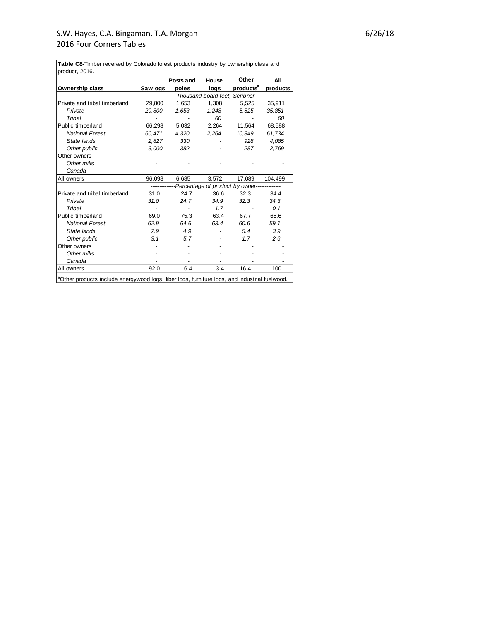**Ownership class Sawlogs Posts and poles House logs Other products<sup>a</sup> All products** Private and tribal timberland 29,800 1,653 1,308 5,525 35,911  *Private 29,800 1,653 1,248 5,525 35,851 Tribal - - 60 - 60* Public timberland 66,298 5,032 2,264 11,564 68,588  *National Forest 60,471 4,320 2,264 10,349 61,734 State lands 2,827 330 - 928 4,085 Other public 3,000 382 - 287 2,769* Other owners **Other owners** and the set of the set of the set of the set of the set of the set of the set of the set of the set of the set of the set of the set of the set of the set of the set of the set of the set of the  *Other mills - - - - - Canada - - - - -* All owners 36,098 6,685 3,572 17,089 104,499 Private and tribal timberland 31.0 24.7 36.6 32.3 34.4  *Private 31.0 24.7 34.9 32.3 34.3 Tribal - - 1.7 - 0.1* Public timberland 69.0 75.3 63.4 67.7 65.6  *National Forest 62.9 64.6 63.4 60.6 59.1 State lands 2.9 4.9 - 5.4 3.9 Other public 3.1 5.7 - 1.7 2.6* Other owners - - - - -  *Other mills - - - - - Canada - - - - -* All owners 92.0 6.4 3.4 16.4 100 aOther products include energywood logs, fiber logs, furniture logs, and industrial fuelwood. *Percentage of product by owner-*-<br>-Thousand board feet, Scribner--**Table C8-**Timber received by Colorado forest products industry by ownership class and product, 2016.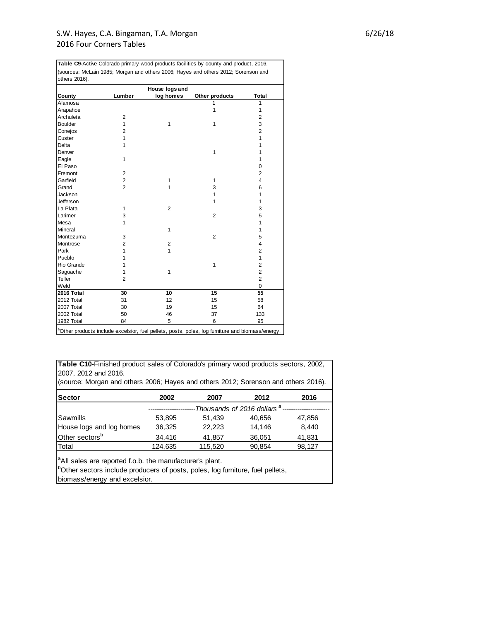|                |                | House logs and |                |                         |
|----------------|----------------|----------------|----------------|-------------------------|
| County         | Lumber         | log homes      | Other products | Total                   |
| Alamosa        |                |                | 1              | $\mathbf{1}$            |
| Arapahoe       |                |                | 1              | 1                       |
| Archuleta      | $\overline{2}$ |                |                | $\overline{\mathbf{c}}$ |
| <b>Boulder</b> | 1              | 1              | $\mathbf{1}$   | 3                       |
| Conejos        | $\overline{2}$ |                |                | $\overline{2}$          |
| Custer         | 1              |                |                | $\mathbf{1}$            |
| Delta          | 1              |                |                | $\mathbf{1}$            |
| Denver         |                |                | $\mathbf{1}$   | 1                       |
| Eagle          | 1              |                |                | $\mathbf{1}$            |
| El Paso        |                |                |                | 0                       |
| Fremont        | $\overline{2}$ |                |                | $\overline{2}$          |
| Garfield       | $\overline{2}$ | 1              | 1              | $\overline{4}$          |
| Grand          | $\overline{2}$ | 1              | 3              | 6                       |
| Jackson        |                |                | 1              | $\mathbf{1}$            |
| Jefferson      |                |                | 1              | $\mathbf{1}$            |
| La Plata       | 1              | $\overline{2}$ |                | 3                       |
| Larimer        | 3              |                | $\overline{2}$ | 5                       |
| <b>Mesa</b>    | 1              |                |                | $\mathbf{1}$            |
| Mineral        |                | $\mathbf{1}$   |                | $\mathbf{1}$            |
| Montezuma      | 3              |                | $\overline{2}$ | 5                       |
| Montrose       | $\overline{2}$ | $\overline{2}$ |                | $\overline{4}$          |
| Park           | 1              | 1              |                | $\overline{2}$          |
| Pueblo         | 1              |                |                | $\mathbf{1}$            |
| Rio Grande     | 1              |                | $\mathbf{1}$   | $\overline{2}$          |
| Saguache       | 1              | 1              |                | $\overline{2}$          |
| Teller         | $\overline{2}$ |                |                | $\overline{2}$          |
| Weld           |                |                |                | 0                       |
| 2016 Total     | 30             | 10             | 15             | 55                      |
| 2012 Total     | 31             | 12             | 15             | 58                      |
| 2007 Total     | 30             | 19             | 15             | 64                      |
| 2002 Total     | 50             | 46             | 37             | 133                     |
| 1982 Total     | 84             | 5              | 6              | 95                      |

**Table C9-**Active Colorado primary wood products facilities by county and product, 2016.

**Table C10-**Finished product sales of Colorado's primary wood products sectors, 2002, 2007, 2012 and 2016.

(source: Morgan and others 2006; Hayes and others 2012; Sorenson and others 2016).

| <b>Sector</b>              | 2002    | 2007    | 2012                                    | 2016   |
|----------------------------|---------|---------|-----------------------------------------|--------|
|                            |         |         | -Thousands of 2016 dollars <sup>a</sup> |        |
| Sawmills                   | 53,895  | 51.439  | 40,656                                  | 47,856 |
| House logs and log homes   | 36,325  | 22.223  | 14.146                                  | 8.440  |
| Other sectors <sup>b</sup> | 34,416  | 41,857  | 36,051                                  | 41,831 |
| Total                      | 124,635 | 115,520 | 90,854                                  | 98,127 |
|                            |         |         |                                         |        |

<sup>a</sup>All sales are reported f.o.b. the manufacturer's plant.

**bOther sectors include producers of posts, poles, log furniture, fuel pellets,** biomass/energy and excelsior.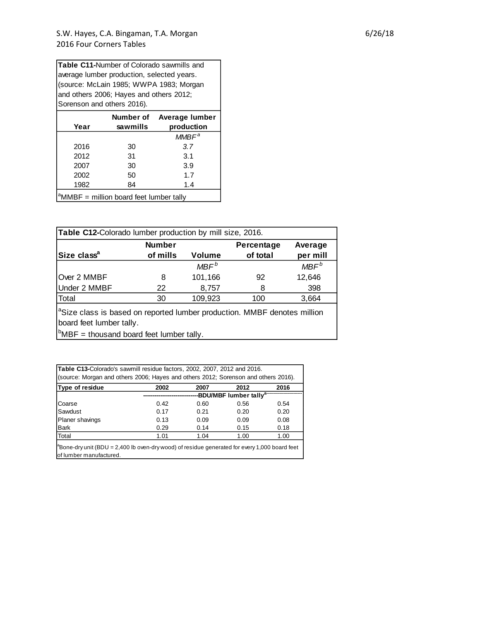(source: McLain 1985; WWPA 1983; Morgan and others 2006; Hayes and others 2012; Sorenson and others 2016). **Table C11-**Number of Colorado sawmills and average lumber production, selected years.

| Year | Number of<br>sawmills                         | Average lumber<br>production |
|------|-----------------------------------------------|------------------------------|
|      |                                               | $MMBF^a$                     |
| 2016 | 30                                            | 3.7                          |
| 2012 | 31                                            | 3.1                          |
| 2007 | 30                                            | 3.9                          |
| 2002 | 50                                            | 1.7                          |
| 1982 | 84                                            | 1.4                          |
|      | $d$ MMD $E =$ million board foot lumber tolly |                              |

 $^{\circ}$ MMBF = million board feet lumber tally

|                         | <b>Number</b> |               | Percentage | Average          |
|-------------------------|---------------|---------------|------------|------------------|
| Size class <sup>a</sup> | of mills      | <b>Volume</b> | of total   | per mill         |
|                         |               | $MBF^b$       |            | MBF <sup>b</sup> |
| Over 2 MMBF             | 8             | 101,166       | 92         | 12,646           |
| Under 2 MMBF            | 22            | 8,757         | 8          | 398              |
| Total                   | 30            | 109,923       | 100        | 3,664            |

"Size class is based on reported lumber production. MMBF denotes million<br>board feet lumber tally.<br><sup>b</sup>MBF = thousand board feet lumber tally. board feet lumber tally.

**Table C13-**Colorado's sawmill residue factors, 2002, 2007, 2012 and 2016. (source: Morgan and others 2006; Hayes and others 2012; Sorenson and others 2016). **Type of residue 2002 2007 2012 2016** Coarse 0.42 0.60 0.56 0.54 **-----------------------------BDU/MBF lumber tallya-------------------------**

| vuust                                                                                                                                       | $U - L$ | v.vv | v.vv | ∪.∪⊤ |  |  |  |
|---------------------------------------------------------------------------------------------------------------------------------------------|---------|------|------|------|--|--|--|
| Sawdust                                                                                                                                     | 0.17    | 0.21 | 0.20 | 0.20 |  |  |  |
| Planer shavings                                                                                                                             | 0.13    | 0.09 | 0.09 | 0.08 |  |  |  |
| <b>Bark</b>                                                                                                                                 | 0.29    | 0.14 | 0.15 | 0.18 |  |  |  |
| Total                                                                                                                                       | 1.01    | 1.04 | 1.00 | 1.00 |  |  |  |
| $\int_{0}^{\infty}$ Bone-dry unit (BDU = 2,400 lb oven-dry wood) of residue generated for every 1,000 board feet<br>of lumber manufactured. |         |      |      |      |  |  |  |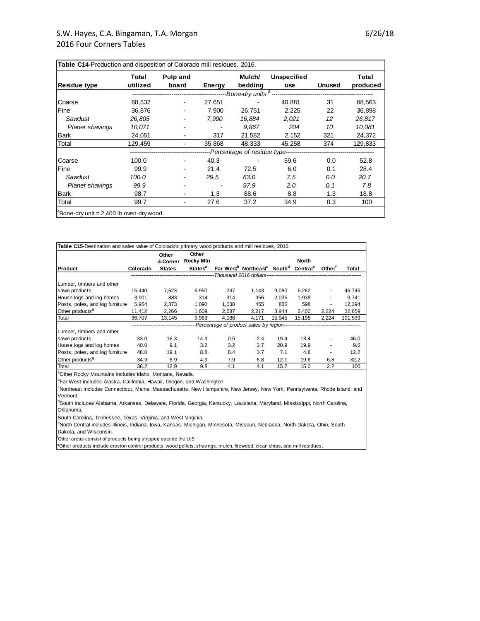| <b>Residue type</b>    | Total<br>utilized | Pulp and<br>board | Energy | Mulch/<br>bedding | Unspecified<br>use                                      | <b>Unused</b> | Total<br>produced |
|------------------------|-------------------|-------------------|--------|-------------------|---------------------------------------------------------|---------------|-------------------|
|                        |                   |                   |        |                   | -Bone-dry units <sup>a</sup> -------------------------- |               |                   |
| Coarse                 | 68,532            | ۰                 | 27,651 |                   | 40,881                                                  | 31            | 68,563            |
| Fine                   | 36,876            |                   | 7,900  | 26,751            | 2,225                                                   | 22            | 36,898            |
| Sawdust                | 26.805            | $\blacksquare$    | 7.900  | 16.884            | 2.021                                                   | 12            | 26,817            |
| <b>Planer shavings</b> | 10.071            |                   |        | 9.867             | 204                                                     | 10            | 10.081            |
| Bark                   | 24,051            |                   | 317    | 21,582            | 2,152                                                   | 321           | 24,372            |
| Total                  | 129.459           |                   | 35,868 | 48.333            | 45,258                                                  | 374           | 129,833           |
|                        |                   |                   |        |                   | ---Percentage of residue type-----------------          |               |                   |
| Coarse                 | 100.0             |                   | 40.3   |                   | 59.6                                                    | 0.0           | 52.8              |
| Fine                   | 99.9              |                   | 21.4   | 72.5              | 6.0                                                     | 0.1           | 28.4              |
| Sawdust                | 100.0             |                   | 29.5   | 63.0              | 7.5                                                     | 0.0           | 20.7              |
| <b>Planer shavings</b> | 99.9              |                   |        | 97.9              | 2.0                                                     | 0.1           | 7.8               |
| Bark                   | 98.7              |                   | 1.3    | 88.6              | 8.8                                                     | 1.3           | 18.8              |
| Total                  | 99.7              | ۰                 | 27.6   | 37.2              | 34.9                                                    | 0.3           | 100               |

| Table C15-Destination and sales value of Colorado's primary wood products and mill residues, 2016. |          |                   |                           |       |                                                                                      |        |              |                    |         |
|----------------------------------------------------------------------------------------------------|----------|-------------------|---------------------------|-------|--------------------------------------------------------------------------------------|--------|--------------|--------------------|---------|
|                                                                                                    |          | Other<br>4-Corner | Other<br><b>Rocky Mtn</b> |       |                                                                                      |        | <b>North</b> |                    |         |
| Product                                                                                            | Colorado | <b>States</b>     | <b>States<sup>a</sup></b> |       | Far West <sup>b</sup> Northeast <sup>c</sup> South <sup>d</sup> Central <sup>e</sup> |        |              | Other <sup>1</sup> | Total   |
|                                                                                                    |          |                   |                           |       |                                                                                      |        |              |                    |         |
| Lumber, timbers and other                                                                          |          |                   |                           |       |                                                                                      |        |              |                    |         |
| sawn products                                                                                      | 15.440   | 7,623             | 6.950                     | 247   | 1.143                                                                                | 9.080  | 6,262        |                    | 46.745  |
| House logs and log homes                                                                           | 3,901    | 883               | 314                       | 314   | 356                                                                                  | 2.035  | 1.938        |                    | 9,741   |
| Posts, poles, and log furniture                                                                    | 5,954    | 2,373             | 1,090                     | 1,038 | 455                                                                                  | 886    | 598          |                    | 12,394  |
| Other products <sup>9</sup>                                                                        | 11,412   | 2,266             | 1,609                     | 2,587 | 2,217                                                                                | 3.944  | 6,400        | 2,224              | 32,659  |
| Total                                                                                              | 36,707   | 13,145            | 9,963                     | 4,186 | 4,171                                                                                | 15,945 | 15,198       | 2,224              | 101,539 |
|                                                                                                    |          |                   |                           |       |                                                                                      |        |              |                    |         |
| Lumber, timbers and other                                                                          |          |                   |                           |       |                                                                                      |        |              |                    |         |
| sawn products                                                                                      | 33.0     | 16.3              | 14.9                      | 0.5   | 2.4                                                                                  | 19.4   | 13.4         |                    | 46.0    |
| House logs and log homes                                                                           | 40.0     | 9.1               | 3.2                       | 3.2   | 3.7                                                                                  | 20.9   | 19.9         |                    | 9.6     |
| Posts, poles, and log furniture                                                                    | 48.0     | 19.1              | 8.8                       | 8.4   | 3.7                                                                                  | 7.1    | 4.8          |                    | 12.2    |
| Other products <sup>9</sup>                                                                        | 34.9     | 6.9               | 4.9                       | 7.9   | 6.8                                                                                  | 12.1   | 19.6         | 6.8                | 32.2    |
| Total                                                                                              | 36.2     | 12.9              | 9.8                       | 4.1   | 4.1                                                                                  | 15.7   | 15.0         | 2.2                | 100     |

aOther Rocky Mountains includes Idaho, Montana, Nevada.

**bFar West includes Alaska, California, Hawaii, Oregon, and Washington.** 

<sup>c</sup>Northeast includes Connecticut, Maine, Massachusetts, New Hampshire, New Jersey, New York, Pennsylvania, Rhode Island, and Vermont.

<sup>d</sup>South includes Alabama, Arkansas, Delaware, Florida, Georgia, Kentucky, Louisiana, Maryland, Mississippi, North Carolina, Oklahoma,

South Carolina, Tennessee, Texas, Virginia, and West Virginia.<br><sup>e</sup>North Central includes Illinois, Indiana, Iowa, Kansas, Michigan, Minnesota, Missouri, Nebraska, North Dakota, Ohio, South Dakota, and Wisconsin.

<sup>f</sup>Other areas consist of products being shipped outside the U.S.

<sup>9</sup>Other products include erosion control products, wood pellets, shavings, mulch, firewood, clean chips, and mill residues.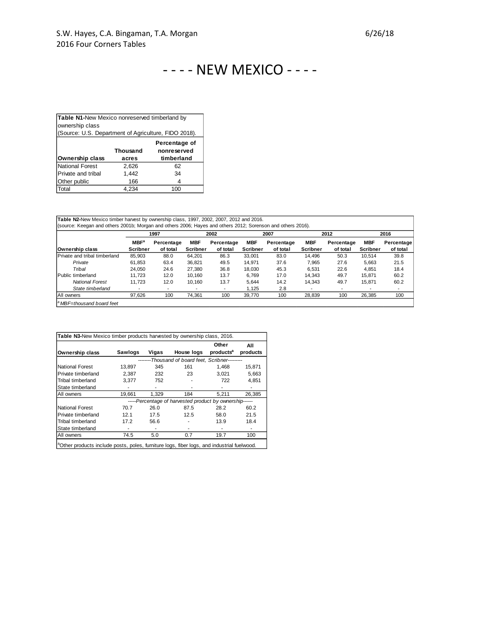|                                                      | Table N1-New Mexico nonreserved timberland by<br>ownership class |            |  |  |  |  |  |  |
|------------------------------------------------------|------------------------------------------------------------------|------------|--|--|--|--|--|--|
|                                                      |                                                                  |            |  |  |  |  |  |  |
| (Source: U.S. Department of Agriculture, FIDO 2018). |                                                                  |            |  |  |  |  |  |  |
| Percentage of<br><b>Thousand</b><br>nonreserved      |                                                                  |            |  |  |  |  |  |  |
| <b>Ownership class</b>                               |                                                                  | timberland |  |  |  |  |  |  |
|                                                      | acres                                                            |            |  |  |  |  |  |  |
| <b>National Forest</b>                               | 2.626                                                            | 62         |  |  |  |  |  |  |
| Private and tribal                                   | 1,442                                                            | 34         |  |  |  |  |  |  |
| Other public                                         | 166                                                              | 4          |  |  |  |  |  |  |
|                                                      |                                                                  |            |  |  |  |  |  |  |

|                               |                  | 1997       |                 | 2002                     |                 | 2007       |                          | 2012       |            | 2016       |  |
|-------------------------------|------------------|------------|-----------------|--------------------------|-----------------|------------|--------------------------|------------|------------|------------|--|
|                               | MBF <sup>a</sup> | Percentage | <b>MBF</b>      | Percentage               | <b>MBF</b>      | Percentage | <b>MBF</b>               | Percentage | <b>MBF</b> | Percentage |  |
| Ownership class               | Scribner         | of total   | <b>Scribner</b> | of total                 | <b>Scribner</b> | of total   | <b>Scribner</b>          | of total   | Scribner   | of total   |  |
| Private and tribal timberland | 85.903           | 88.0       | 64.201          | 86.3                     | 33.001          | 83.0       | 14.496                   | 50.3       | 10.514     | 39.8       |  |
| Private                       | 61.853           | 63.4       | 36.821          | 49.5                     | 14.971          | 37.6       | 7.965                    | 27.6       | 5,663      | 21.5       |  |
| Tribal                        | 24.050           | 24.6       | 27.380          | 36.8                     | 18.030          | 45.3       | 6.531                    | 22.6       | 4.851      | 18.4       |  |
| IPublic timberland            | 11.723           | 12.0       | 10.160          | 13.7                     | 6.769           | 17.0       | 14.343                   | 49.7       | 15.871     | 60.2       |  |
| <b>National Forest</b>        | 11.723           | 12.0       | 10.160          | 13.7                     | 5.644           | 14.2       | 14.343                   | 49.7       | 15.871     | 60.2       |  |
| State timberland              |                  | -          |                 | $\overline{\phantom{a}}$ | 1.125           | 2.8        | $\overline{\phantom{a}}$ |            |            | ۰          |  |
| All owners                    | 97.626           | 100        | 74.361          | 100                      | 39.770          | 100        | 28,839                   | 100        | 26,385     | 100        |  |

|                    |         |       |                                                         | Other                 | All      |
|--------------------|---------|-------|---------------------------------------------------------|-----------------------|----------|
| Ownership class    | Sawlogs | Vigas | House logs                                              | products <sup>a</sup> | products |
|                    |         |       | --------Thousand of board feet. Scribner---------       |                       |          |
| National Forest    | 13.897  | 345   | 161                                                     | 1.468                 | 15.871   |
| Private timberland | 2.387   | 232   | 23                                                      | 3.021                 | 5,663    |
| Tribal timberland  | 3.377   | 752   |                                                         | 722                   | 4,851    |
| State timberland   |         | ۰     |                                                         |                       |          |
| All owners         | 19,661  | 1.329 | 184                                                     | 5,211                 | 26,385   |
|                    |         |       | -----Percentage of harvested product by ownership------ |                       |          |
| National Forest    | 70.7    | 26.0  | 87.5                                                    | 28.2                  | 60.2     |
| Private timberland | 12.1    | 17.5  | 12.5                                                    | 58.0                  | 21.5     |
| Tribal timberland  | 17.2    | 56.6  |                                                         | 13.9                  | 18.4     |
| State timberland   |         |       |                                                         |                       |          |
| All owners         | 74.5    | 5.0   | 0.7                                                     | 19.7                  | 100      |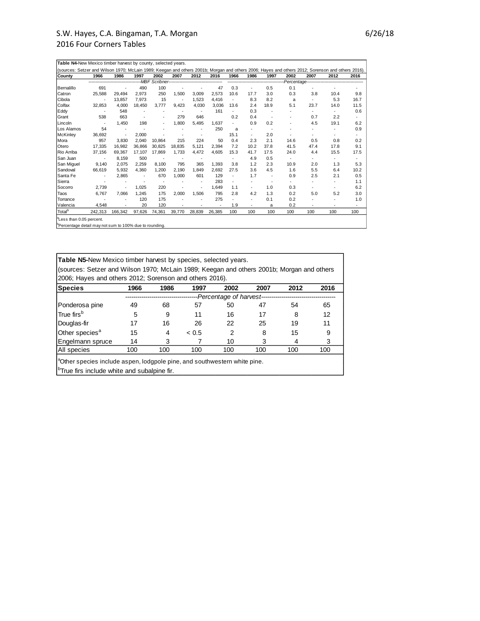| <b>Countv</b>      | 1966    | 1986                     | 1997   | 2002   | 2007   | 2012   | 2016                     | 1966 | 1986                                 | 1997 | 2002 | 2007                                      | 2012 | 2016                     |
|--------------------|---------|--------------------------|--------|--------|--------|--------|--------------------------|------|--------------------------------------|------|------|-------------------------------------------|------|--------------------------|
|                    |         |                          |        |        |        |        |                          |      | ------------------------------------ |      |      | -Percentage------------------------------ |      |                          |
| Bernalillo         | 691     |                          | 490    | 100    |        |        | 47                       | 0.3  | ٠                                    | 0.5  | 0.1  |                                           |      |                          |
| Catron             | 25,588  | 29,494                   | 2,973  | 250    | 1,500  | 3.009  | 2.573                    | 10.6 | 17.7                                 | 3.0  | 0.3  | 3.8                                       | 10.4 | 9.8                      |
| Cibola             |         | 13.857                   | 7,973  | 15     |        | 1.523  | 4,416                    |      | 8.3                                  | 8.2  | a    |                                           | 5.3  | 16.7                     |
| Colfax             | 32,853  | 4,000                    | 18,450 | 3,777  | 9.423  | 4,030  | 3,036                    | 13.6 | 2.4                                  | 18.9 | 5.1  | 23.7                                      | 14.0 | 11.5                     |
| Eddy               |         | 548                      | ٠      |        | ٠      | ٠      | 161                      |      | 0.3                                  |      |      |                                           | ٠    | 0.6                      |
| Grant              | 538     | 663                      | ٠      |        | 279    | 646    |                          | 0.2  | 0.4                                  | ٠.   |      | 0.7                                       | 2.2  |                          |
| Lincoln            |         | 1.450                    | 198    |        | 1,800  | 5.495  | 1.637                    |      | 0.9                                  | 0.2  |      | 4.5                                       | 19.1 | 6.2                      |
| Los Alamos         | 54      |                          |        |        |        |        | 250                      | a    | ٠                                    |      |      |                                           |      | 0.9                      |
| <b>McKinlev</b>    | 36,692  | $\overline{\phantom{a}}$ | 2.000  |        |        | ٠      |                          | 15.1 | ٠                                    | 2.0  |      | ٠                                         |      |                          |
| Mora               | 957     | 3.830                    | 2.040  | 10.864 | 215    | 224    | 50                       | 0.4  | 2.3                                  | 2.1  | 14.6 | 0.5                                       | 0.8  | 0.2                      |
| Otero              | 17.335  | 16.982                   | 36.866 | 30.825 | 18.835 | 5.121  | 2.394                    | 7.2  | 10.2                                 | 37.8 | 41.5 | 47.4                                      | 17.8 | 9.1                      |
| Rio Arriba         | 37,156  | 69.367                   | 17,107 | 17.869 | 1.733  | 4.472  | 4.605                    | 15.3 | 41.7                                 | 17.5 | 24.0 | 4.4                                       | 15.5 | 17.5                     |
| San Juan           |         | 8,159                    | 500    |        |        |        |                          |      | 4.9                                  | 0.5  |      | ٠                                         |      |                          |
| San Miguel         | 9,140   | 2.075                    | 2.259  | 8.100  | 795    | 365    | 1.393                    | 3.8  | 1.2                                  | 2.3  | 10.9 | 2.0                                       | 1.3  | 5.3                      |
| Sandoval           | 66,619  | 5,932                    | 4.360  | 1.200  | 2.190  | 1.849  | 2.692                    | 27.5 | 3.6                                  | 4.5  | 1.6  | 5.5                                       | 6.4  | 10.2                     |
| Santa Fe           |         | 2,865                    | ٠      | 670    | 1,000  | 601    | 129                      |      | 1.7                                  | ٠    | 0.9  | 2.5                                       | 2.1  | 0.5                      |
| Sierra             |         |                          | ٠      | ٠      |        | ٠      | 283                      |      | ٠                                    | ٠    |      | ٠                                         |      | 1.1                      |
| Socorro            | 2,739   | ٠                        | 1.025  | 220    |        | ٠      | 1.649                    | 1.1  | ٠                                    | 1.0  | 0.3  | ٠                                         | ٠    | 6.2                      |
| Taos               | 6.767   | 7.066                    | 1,245  | 175    | 2.000  | 1,506  | 795                      | 2.8  | 4.2                                  | 1.3  | 0.2  | 5.0                                       | 5.2  | 3.0                      |
| Torrance           |         |                          | 120    | 175    |        |        | 275                      |      |                                      | 0.1  | 0.2  |                                           |      | 1.0                      |
| Valencia           | 4.548   | ٠                        | 20     | 120    | ٠      | ٠      | $\overline{\phantom{a}}$ | 1.9  | ٠                                    | a    | 0.2  | ٠                                         | ٠    | $\overline{\phantom{a}}$ |
| Total <sup>b</sup> | 242.313 | 166.342                  | 97,626 | 74,361 | 39,770 | 28,839 | 26,385                   | 100  | 100                                  | 100  | 100  | 100                                       | 100  | 100                      |

<sup>b</sup>Percentage detail may not sum to 100% due to rounding.

| <b>Table N5-New Mexico timber harvest by species, selected years.</b>                     |      |      |       |      |      |      |      |  |  |  |
|-------------------------------------------------------------------------------------------|------|------|-------|------|------|------|------|--|--|--|
| (sources: Setzer and Wilson 1970; McLain 1989; Keegan and others 2001b; Morgan and others |      |      |       |      |      |      |      |  |  |  |
| 2006; Hayes and others 2012; Sorenson and others 2016).                                   |      |      |       |      |      |      |      |  |  |  |
| Species                                                                                   | 1966 | 1986 | 1997  | 2002 | 2007 | 2012 | 2016 |  |  |  |
| --Percentage of harvest--                                                                 |      |      |       |      |      |      |      |  |  |  |
| Ponderosa pine                                                                            | 49   | 68   | 57    | 50   | 47   | 54   | 65   |  |  |  |
| True firs <sup>b</sup>                                                                    | 5    | 9    | 11    | 16   | 17   | 8    | 12   |  |  |  |
| Douglas-fir                                                                               | 17   | 16   | 26    | 22   | 25   | 19   | 11   |  |  |  |
| Other species <sup>a</sup>                                                                | 15   | 4    | < 0.5 | 2    | 8    | 15   | 9    |  |  |  |
| Engelmann spruce                                                                          | 14   | 3    |       | 10   | 3    | 4    | 3    |  |  |  |
| All species                                                                               | 100  | 100  | 100   | 100  | 100  | 100  | 100  |  |  |  |
| <sup>a</sup> Other species include aspen, lodgpole pine, and southwestern white pine.     |      |      |       |      |      |      |      |  |  |  |

<sup>b</sup>True firs include white and subalpine fir.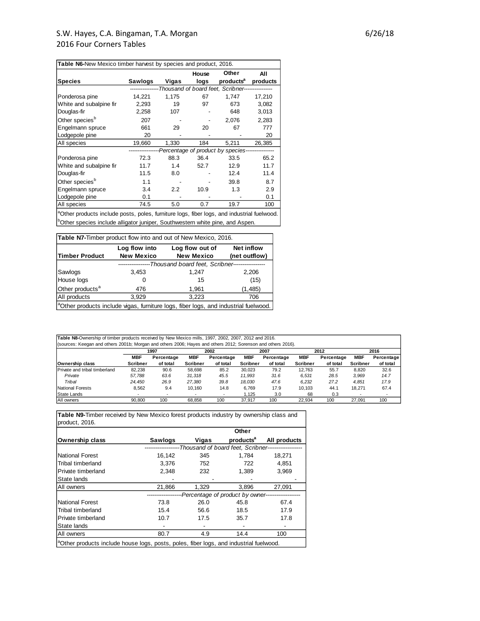| Table N6-New Mexico timber harvest by species and product, 2016. |         |       |       |                                                          |          |
|------------------------------------------------------------------|---------|-------|-------|----------------------------------------------------------|----------|
|                                                                  |         |       | House | Other                                                    | All      |
| <b>Species</b>                                                   | Sawlogs | Vigas | logs  | products <sup>a</sup>                                    | products |
|                                                                  |         |       |       | -----------Thousand of board feet, Scribner------------- |          |
| Ponderosa pine                                                   | 14,221  | 1,175 | 67    | 1,747                                                    | 17,210   |
| White and subalpine fir                                          | 2,293   | 19    | 97    | 673                                                      | 3,082    |
| Douglas-fir                                                      | 2,258   | 107   |       | 648                                                      | 3,013    |
| Other species <sup>b</sup>                                       | 207     |       |       | 2,076                                                    | 2,283    |
| Engelmann spruce                                                 | 661     | 29    | 20    | 67                                                       | 777      |
| Lodgepole pine                                                   | 20      |       |       |                                                          | 20       |
| All species                                                      | 19,660  | 1,330 | 184   | 5,211                                                    | 26,385   |
|                                                                  |         |       |       | --Percentage of product by species----                   |          |
| Ponderosa pine                                                   | 72.3    | 88.3  | 36.4  | 33.5                                                     | 65.2     |
| White and subalpine fir                                          | 11.7    | 1.4   | 52.7  | 12.9                                                     | 11.7     |
| Douglas-fir                                                      | 11.5    | 8.0   |       | 12.4                                                     | 11.4     |
| Other species <sup>b</sup>                                       | 1.1     |       |       | 39.8                                                     | 8.7      |
| Engelmann spruce                                                 | 3.4     | 2.2   | 10.9  | 1.3                                                      | 2.9      |
| Lodgepole pine                                                   | 0.1     |       |       |                                                          | 0.1      |
| All species                                                      | 74.5    | 5.0   | 0.7   | 19.7                                                     | 100      |
|                                                                  |         |       |       |                                                          |          |

<sup>a</sup>Other products include posts, poles, furniture logs, fiber logs, and industrial fuelwood.  $\frac{b}{c}$ Other species include alligator juniper, Southwestern white pine, and Aspen.

| Table N7-Timber product flow into and out of New Mexico, 2016. |                   |                                                                                                 |                   |  |  |  |  |  |
|----------------------------------------------------------------|-------------------|-------------------------------------------------------------------------------------------------|-------------------|--|--|--|--|--|
|                                                                | Log flow into     | Log flow out of                                                                                 | <b>Net inflow</b> |  |  |  |  |  |
| <b>Timber Product</b>                                          | <b>New Mexico</b> | <b>New Mexico</b>                                                                               | (net outflow)     |  |  |  |  |  |
| --Thousand board feet, Scribner--                              |                   |                                                                                                 |                   |  |  |  |  |  |
| Sawlogs                                                        | 3,453             | 1.247                                                                                           | 2,206             |  |  |  |  |  |
| House logs                                                     | 0                 | 15                                                                                              | (15)              |  |  |  |  |  |
| Other products <sup>a</sup>                                    | 476               | 1,961                                                                                           | (1, 485)          |  |  |  |  |  |
| All products                                                   | 3.929             | 3,223                                                                                           | 706               |  |  |  |  |  |
|                                                                |                   | <sup>a</sup> Other products include vigas, furniture logs, fiber logs, and industrial fuelwood. |                   |  |  |  |  |  |

| (sources: Keegan and others 2001b; Morgan and others 2006; Hayes and others 2012; Sorenson and others 2016). |                               | 1997                   |                        | 2002                     |                               | 2007                   |                        | 2012                   |                               | 2016                          |
|--------------------------------------------------------------------------------------------------------------|-------------------------------|------------------------|------------------------|--------------------------|-------------------------------|------------------------|------------------------|------------------------|-------------------------------|-------------------------------|
| <b>Ownership class</b>                                                                                       | <b>MBF</b><br><b>Scribner</b> | Percentage<br>of total | MBF<br><b>Scribner</b> | Percentage<br>of total   | <b>MBF</b><br><b>Scribner</b> | Percentage<br>of total | MBF<br><b>Scribner</b> | Percentage<br>of total | <b>MBF</b><br><b>Scribner</b> | <b>Percentage</b><br>of total |
| Private and tribal timberland                                                                                | 82.238                        | 90.6                   | 58.698                 | 85.2                     | 30.023                        | 79.2                   | 12.763                 | 55.7                   | 8.820                         | 32.6                          |
| Private                                                                                                      | 57.788                        | 63.6                   | 31.318                 | 45.5                     | 11.993                        | 31.6                   | 6.531                  | 28.5                   | 3.969                         | 14.7                          |
| Tribal                                                                                                       | 24.450                        | 26.9                   | 27.380                 | 39.8                     | 18.030                        | 47.6                   | 6.232                  | 27.2                   | 4.851                         | 17.9                          |
| National Forests                                                                                             | 8.562                         | 9.4                    | 10.160                 | 14.8                     | 6.769                         | 17.9                   | 10.103                 | 44.1                   | 18.271                        | 67.4                          |
| State Lands                                                                                                  |                               |                        |                        | $\overline{\phantom{a}}$ | 1.125                         | 3.0                    | 68                     | 0.3                    |                               |                               |
| All owners                                                                                                   | 90.800                        | 100                    | 68.858                 | 100                      | 37.917                        | 100                    | 22.934                 | 100                    | 27.091                        | 100                           |

**Table N9-**Timber received by New Mexico forest products industry by ownership class and product, 2016.

|                                                                                                    |                |       | Other                                                |              |
|----------------------------------------------------------------------------------------------------|----------------|-------|------------------------------------------------------|--------------|
| Ownership class                                                                                    | <b>Sawlogs</b> | Vigas | products <sup>a</sup>                                | All products |
|                                                                                                    |                |       | --Thousand of board feet. Scribner------------------ |              |
| National Forest                                                                                    | 16,142         | 345   | 1.784                                                | 18.271       |
| Tribal timberland                                                                                  | 3.376          | 752   | 722                                                  | 4.851        |
| IPrivate timberland                                                                                | 2,348          | 232   | 1,389                                                | 3,969        |
| <b>State lands</b>                                                                                 |                |       |                                                      |              |
| All owners                                                                                         | 21,866         | 1,329 | 3,896                                                | 27.091       |
|                                                                                                    |                |       | -Percentage of product by owner-------------------   |              |
| National Forest                                                                                    | 73.8           | 26.0  | 45.8                                                 | 67.4         |
| Tribal timberland                                                                                  | 15.4           | 56.6  | 18.5                                                 | 17.9         |
| Private timberland                                                                                 | 10.7           | 17.5  | 35.7                                                 | 17.8         |
| <b>S</b> tate lands                                                                                |                |       |                                                      |              |
| All owners                                                                                         | 80.7           | 4.9   | 14.4                                                 | 100          |
| <sup>1</sup> Other products include house logs, posts, poles, fiber logs, and industrial fuelwood. |                |       |                                                      |              |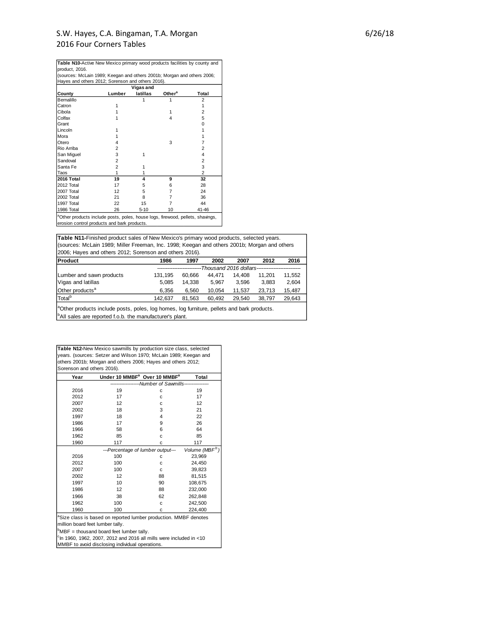| <b>Table N10-Active New Mexico primary wood products facilities by county and</b>          |                                             |           |                    |                |  |  |  |  |  |
|--------------------------------------------------------------------------------------------|---------------------------------------------|-----------|--------------------|----------------|--|--|--|--|--|
| product, 2016.                                                                             |                                             |           |                    |                |  |  |  |  |  |
| (sources: McLain 1989; Keegan and others 2001b; Morgan and others 2006;                    |                                             |           |                    |                |  |  |  |  |  |
| Hayes and others 2012; Sorenson and others 2016).                                          |                                             |           |                    |                |  |  |  |  |  |
|                                                                                            |                                             | Vigas and |                    |                |  |  |  |  |  |
| County                                                                                     | Lumber                                      | latillas  | Other <sup>a</sup> | Total          |  |  |  |  |  |
| Bernalillo                                                                                 |                                             |           |                    | 2              |  |  |  |  |  |
| Catron                                                                                     |                                             |           |                    | 1              |  |  |  |  |  |
| Cibola                                                                                     |                                             |           |                    | $\overline{2}$ |  |  |  |  |  |
| Colfax                                                                                     |                                             |           | 4                  | 5              |  |  |  |  |  |
| Grant                                                                                      |                                             |           |                    | 0              |  |  |  |  |  |
| Lincoln                                                                                    |                                             |           |                    | 1              |  |  |  |  |  |
| Mora                                                                                       |                                             |           |                    | 1              |  |  |  |  |  |
| Otero                                                                                      | 4                                           |           | 3                  | 7              |  |  |  |  |  |
| Rio Arriba                                                                                 | $\overline{2}$                              |           |                    | $\overline{2}$ |  |  |  |  |  |
| San Miguel                                                                                 | 3                                           | 1         |                    | 4              |  |  |  |  |  |
| Sandoval                                                                                   | $\overline{2}$                              |           |                    | $\overline{2}$ |  |  |  |  |  |
| Santa Fe                                                                                   | $\overline{2}$                              |           |                    | 3              |  |  |  |  |  |
| Taos                                                                                       | 1                                           |           |                    | $\overline{2}$ |  |  |  |  |  |
| 2016 Total                                                                                 | 19                                          | 4         | 9                  | 32             |  |  |  |  |  |
| 2012 Total                                                                                 | 17                                          | 5         | 6                  | 28             |  |  |  |  |  |
| 2007 Total                                                                                 | 12                                          | 5         | 7                  | 24             |  |  |  |  |  |
| 2002 Total                                                                                 | 21                                          | 8         | 7                  | 36             |  |  |  |  |  |
| 1997 Total                                                                                 | 22                                          | 15        | 7                  | 44             |  |  |  |  |  |
| 1986 Total                                                                                 | 26                                          | $5 - 10$  | 10                 | 41-46          |  |  |  |  |  |
| <sup>a</sup> Other products include posts, poles, house logs, firewood, pellets, shavings, |                                             |           |                    |                |  |  |  |  |  |
|                                                                                            | erosion control products and bark products. |           |                    |                |  |  |  |  |  |

**Table N11-**Finished product sales of New Mexico's primary wood products, selected years. **Product 1986 1997 2002 2007 2012 2016** Lumber and sawn products 131,195 60,666 44,471 14,408 11,201 11,552 Vigas and latillas 5,085 14,338 5,967 3,596 3,883 2,604 Other products<sup>a</sup> 6,356 6,560 10,054 11,537 23,713 15,487 Total<sup>b</sup> 142,637 81,563 60,492 29,540 38,797 29,643 <sup>a</sup>Other products include posts, poles, log homes, log furniture, pellets and bark products.  $\vert^b$ All sales are reported f.o.b. the manufacturer's plant. *--------------------------Thousand 2016 dollars--------------------------* (sources: McLain 1989; Miller Freeman, Inc. 1998; Keegan and others 2001b; Morgan and others 2006; Hayes and others 2012; Sorenson and others 2016).

**Table N12-**New Mexico sawmills by production size class, selected years. (sources: Setzer and Wilson 1970; McLain 1989; Keegan and others 2001b; Morgan and others 2006; Hayes and others 2012; Sorenson and others 2016).

| Year                             | Under 10 MMBF <sup>a</sup> Over 10 MMBF <sup>a</sup>                            |                           | Total                      |
|----------------------------------|---------------------------------------------------------------------------------|---------------------------|----------------------------|
|                                  |                                                                                 | -Number of Sawmills------ |                            |
| 2016                             | 19                                                                              | C                         | 19                         |
| 2012                             | 17                                                                              | C                         | 17                         |
| 2007                             | 12                                                                              | C                         | 12                         |
| 2002                             | 18                                                                              | 3                         | 21                         |
| 1997                             | 18                                                                              | 4                         | 22                         |
| 1986                             | 17                                                                              | 9                         | 26                         |
| 1966                             | 58                                                                              | 6                         | 64                         |
| 1962                             | 85                                                                              | C                         | 85                         |
| 1960                             | 117                                                                             | C                         | 117                        |
|                                  | ---Percentage of lumber output---                                               |                           | Volume (MBF <sup>b</sup> ) |
| 2016                             | 100                                                                             | C                         | 23,969                     |
| 2012                             | 100                                                                             | C                         | 24,450                     |
| 2007                             | 100                                                                             | c                         | 39,823                     |
| 2002                             | 12                                                                              | 88                        | 81,515                     |
| 1997                             | 10                                                                              | 90                        | 108,675                    |
| 1986                             | 12                                                                              | 88                        | 232,000                    |
| 1966                             | 38                                                                              | 62                        | 262,848                    |
| 1962                             | 100                                                                             | C                         | 242,500                    |
| 1960                             | 100                                                                             | C                         | 224,400                    |
|                                  | <sup>a</sup> Size class is based on reported lumber production. MMBF denotes    |                           |                            |
| million board feet lumber tally. |                                                                                 |                           |                            |
|                                  | "MBF = thousand board feet lumber tally.                                        |                           |                            |
|                                  | $\textdegree$ In 1960, 1962, 2007, 2012 and 2016 all mills were included in <10 |                           |                            |
|                                  | MMBF to avoid disclosing individual operations.                                 |                           |                            |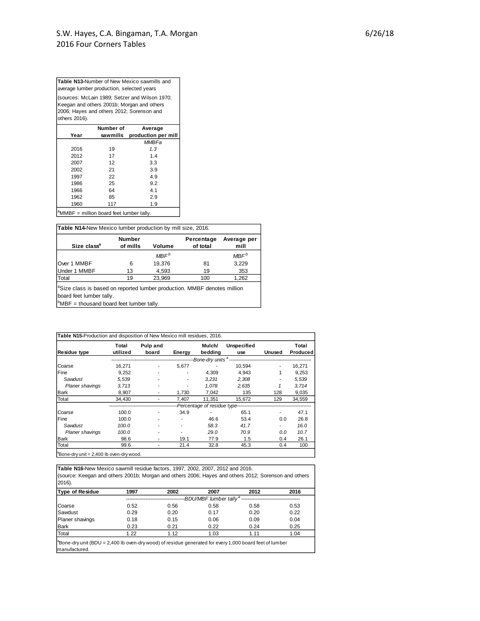(sources: McLain 1989; Setzer and Wilson 1970; Keegan and others 2001b; Morgan and others 2006; Hayes and others 2012; Sorenson and others 2016). **Table N13-**Number of New Mexico sawmills and average lumber production, selected years

|                                                                | Number of | Average             |
|----------------------------------------------------------------|-----------|---------------------|
| Year                                                           | sawmills  | production per mill |
|                                                                |           | MMBFa               |
| 2016                                                           | 19        | 1.3                 |
| 2012                                                           | 17        | 1.4                 |
| 2007                                                           | 12        | 3.3                 |
| 2002                                                           | 21        | 3.9                 |
| 1997                                                           | 22        | 4.9                 |
| 1986                                                           | 25        | 9.2                 |
| 1966                                                           | 64        | 4.1                 |
| 1962                                                           | 85        | 2.9                 |
| 1960                                                           | 117       | 1.9                 |
| $\lambda$ <sup>a</sup> MMBF = million board feet lumber tally. |           |                     |

<sup>a</sup>MMBF = million board feet lumber tally.

| <b>Table N14-New Mexico lumber production by mill size, 2016.</b> |                           |                  |                        |                     |  |  |  |  |  |
|-------------------------------------------------------------------|---------------------------|------------------|------------------------|---------------------|--|--|--|--|--|
| Size class <sup>a</sup>                                           | <b>Number</b><br>of mills | Volume           | Percentage<br>of total | Average per<br>mill |  |  |  |  |  |
|                                                                   |                           | MBF <sup>b</sup> |                        | MBF <sup>b</sup>    |  |  |  |  |  |
| Over 1 MMBF                                                       | 6                         | 19,376           | 81                     | 3,229               |  |  |  |  |  |
| Under 1 MMBF                                                      | 13                        | 4,593            | 19                     | 353                 |  |  |  |  |  |
| Total                                                             | 19                        | 23,969           | 100                    | 1,262               |  |  |  |  |  |

<sup>a</sup>Size class is based on reported lumber production. MMBF denotes million<br>board feet lumber tally.<br><sup>b</sup>MBF = thousand board feet lumber tally. board feet lumber tally.

| <b>Residue type</b>    | Total<br>utilized | Pulp and<br>board | Energy | Mulch/<br>bedding | <b>Unspecified</b><br>use                                     | Unused | Total<br>Produced |
|------------------------|-------------------|-------------------|--------|-------------------|---------------------------------------------------------------|--------|-------------------|
|                        |                   |                   |        |                   | ---Bone-dry units <sup>a</sup> ------------------------------ |        |                   |
| Coarse                 | 16.271            |                   | 5.677  |                   | 10.594                                                        | ٠      | 16.271            |
| Fine                   | 9,252             | ٠                 |        | 4.309             | 4.943                                                         | 1      | 9,253             |
| Sawdust                | 5.539             |                   |        | 3.231             | 2,308                                                         |        | 5,539             |
| <b>Planer shavings</b> | 3.713             |                   |        | 1.078             | 2.635                                                         |        | 3.714             |
| Bark                   | 8,907             | ٠                 | 1,730  | 7,042             | 135                                                           | 128    | 9,035             |
| Total                  | 34,430            |                   | 7,407  | 11.351            | 15,672                                                        | 129    | 34,559            |
|                        |                   |                   |        |                   | -Percentage of residue type--------------------               |        |                   |
| <b>Coarse</b>          | 100.0             | ۰                 | 34.9   |                   | 65.1                                                          | ٠      | 47.1              |
| <b>Fine</b>            | 100.0             |                   |        | 46.6              | 53.4                                                          | 0.0    | 26.8              |
| Sawdust                | 100.0             |                   |        | 58.3              | 41.7                                                          | ۰      | 16.0              |
| <b>Planer shavings</b> | 100.0             |                   |        | 29.0              | 70.9                                                          | 0.0    | 10.7              |
| Bark                   | 98.6              | ۰                 | 19.1   | 77.9              | 1.5                                                           | 0.4    | 26.1              |
| Total                  | 99.6              | -                 | 21.4   | 32.8              | 45.3                                                          | 0.4    | 100               |

**Table N16-**New Mexico sawmill residue factors, 1997, 2002, 2007, 2012 and 2016. (source: Keegan and others 2001b; Morgan and others 2006; Hayes and others 2012; Sorenson and others 2016).

| <b>Type of Residue</b>                                                                                                                | 1997 | 2002 | 2007                               | 2012 | 2016 |
|---------------------------------------------------------------------------------------------------------------------------------------|------|------|------------------------------------|------|------|
|                                                                                                                                       |      |      | -BDU/MBF lumber tally <sup>a</sup> |      |      |
| Coarse                                                                                                                                | 0.52 | 0.56 | 0.58                               | 0.58 | 0.53 |
| Sawdust                                                                                                                               | 0.29 | 0.20 | 0.17                               | 0.20 | 0.22 |
| Planer shavings                                                                                                                       | 0.18 | 0.15 | 0.06                               | 0.09 | 0.04 |
| <b>Bark</b>                                                                                                                           | 0.23 | 0.21 | 0.22                               | 0.24 | 0.25 |
| Total                                                                                                                                 | 1.22 | 1.12 | 1.03                               | 1.11 | 1.04 |
| <sup>a</sup> Bone-dry unit (BDU = 2,400 lb oven-dry wood) of residue generated for every 1,000 board feet of lumber<br>Imanufactured. |      |      |                                    |      |      |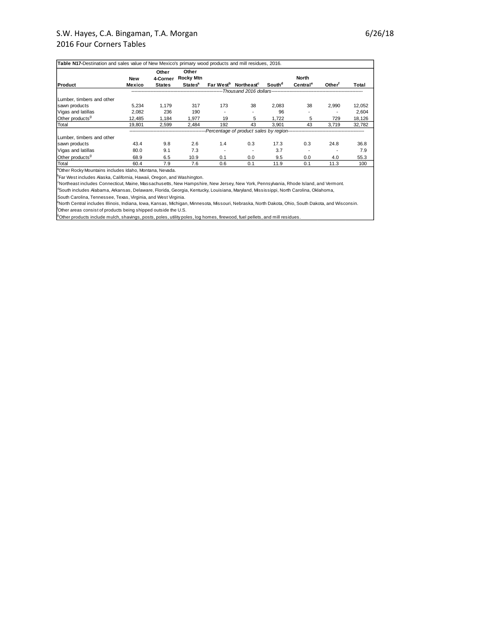| Table N17-Destination and sales value of New Mexico's primary wood products and mill residues, 2016. |            |                   |                           |                          |                                                           |                    |                      |                    |        |
|------------------------------------------------------------------------------------------------------|------------|-------------------|---------------------------|--------------------------|-----------------------------------------------------------|--------------------|----------------------|--------------------|--------|
|                                                                                                      | <b>New</b> | Other<br>4-Corner | Other<br><b>Rocky Mtn</b> |                          |                                                           |                    | <b>North</b>         |                    |        |
| Product                                                                                              | Mexico     | <b>States</b>     | <b>States<sup>a</sup></b> |                          | Far West <sup>b</sup> Northeast <sup>c</sup>              | South <sup>d</sup> | Central <sup>e</sup> | Other <sup>†</sup> | Total  |
|                                                                                                      |            |                   |                           |                          | -----------------------Thousand 2016 dollars------------- |                    |                      |                    |        |
| Lumber, timbers and other                                                                            |            |                   |                           |                          |                                                           |                    |                      |                    |        |
| sawn products                                                                                        | 5.234      | 1.179             | 317                       | 173                      | 38                                                        | 2.083              | 38                   | 2.990              | 12.052 |
| Vigas and latillas                                                                                   | 2,082      | 236               | 190                       |                          |                                                           | 96                 |                      |                    | 2,604  |
| Other products <sup>9</sup>                                                                          | 12.485     | 1.184             | 1.977                     | 19                       | 5                                                         | 1.722              | 5                    | 729                | 18,126 |
| Total                                                                                                | 19.801     | 2.599             | 2.484                     | 192                      | 43                                                        | 3.901              | 43                   | 3.719              | 32,782 |
|                                                                                                      |            |                   |                           |                          | --Percentage of product sales by region--                 |                    |                      |                    |        |
| Lumber, timbers and other                                                                            |            |                   |                           |                          |                                                           |                    |                      |                    |        |
| sawn products                                                                                        | 43.4       | 9.8               | 2.6                       | 1.4                      | 0.3                                                       | 17.3               | 0.3                  | 24.8               | 36.8   |
| Vigas and latillas                                                                                   | 80.0       | 9.1               | 7.3                       | $\overline{\phantom{a}}$ |                                                           | 3.7                |                      |                    | 7.9    |
| Other products <sup>9</sup>                                                                          | 68.9       | 6.5               | 10.9                      | 0.1                      | 0.0                                                       | 9.5                | 0.0                  | 4.0                | 55.3   |
| Total                                                                                                | 60.4       | 7.9               | 7.6                       | 0.6                      | 0.1                                                       | 11.9               | 0.1                  | 11.3               | 100    |

<sup>a</sup>Other Rocky Mountains includes Idaho, Montana, Nevada.

**Far West includes Alaska, California, Hawaii, Oregon, and Washington.** 

<sup>c</sup>Northeast includes Connecticut, Maine, Massachusetts, New Hampshire, New Jersey, New York, Pennsylvania, Rhode Island, and Vermont.

South Carolina, Tennessee, Texas, Virginia, and West Virginia.

<sup>d</sup>South includes Alabama, Arkansas, Delaware, Florida, Georgia, Kentucky, Louisiana, Maryland, Mississippi, North Carolina, Oklahoma,<br>South Carolina, Tennessee, Texas, Virginia, and West Virginia.<br><sup>e</sup>North Central include

 $\vert$ <sup>t</sup>Other areas consist of products being shipped outside the U.S.

<sup>9</sup>Other products include mulch, shavings, posts, poles, utility poles, log homes, firewood, fuel pellets, and mill residues.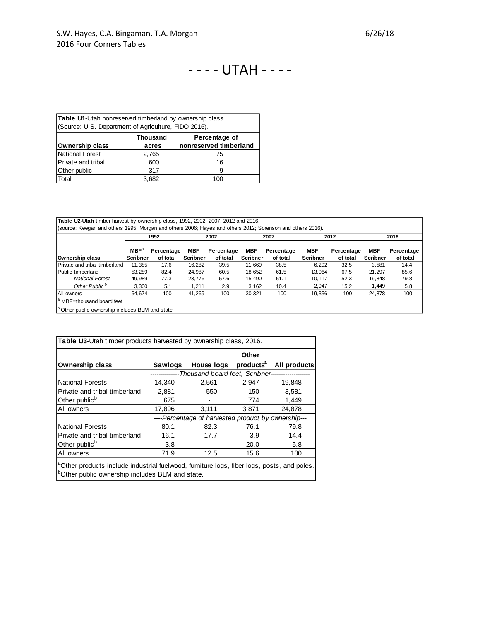# - - - - UTAH - - - -

| <b>Table U1-</b> Utah nonreserved timberland by ownership class. |                                  |                        |  |  |  |  |  |  |  |
|------------------------------------------------------------------|----------------------------------|------------------------|--|--|--|--|--|--|--|
| (Source: U.S. Department of Agriculture, FIDO 2016).             |                                  |                        |  |  |  |  |  |  |  |
|                                                                  | <b>Thousand</b><br>Percentage of |                        |  |  |  |  |  |  |  |
| Ownership class                                                  | acres                            | nonreserved timberland |  |  |  |  |  |  |  |
| National Forest                                                  | 2,765                            | 75                     |  |  |  |  |  |  |  |
| Private and tribal                                               | 600                              | 16                     |  |  |  |  |  |  |  |
| <b>Other public</b>                                              | 317                              | 9                      |  |  |  |  |  |  |  |
| Total                                                            | 3.682                            | 100                    |  |  |  |  |  |  |  |

| Table U2-Utah timber harvest by ownership class, 1992, 2002, 2007, 2012 and 2016.<br>(source: Keegan and others 1995; Morgan and others 2006; Hayes and others 2012; Sorenson and others 2016). |                            |                        |                               |                        |                               |                        |                               |                        |                               |                        |
|-------------------------------------------------------------------------------------------------------------------------------------------------------------------------------------------------|----------------------------|------------------------|-------------------------------|------------------------|-------------------------------|------------------------|-------------------------------|------------------------|-------------------------------|------------------------|
|                                                                                                                                                                                                 |                            | 1992                   |                               | 2002                   |                               | 2007                   |                               | 2012                   |                               | 2016                   |
| Ownership class                                                                                                                                                                                 | $MBF^a$<br><b>Scribner</b> | Percentage<br>of total | <b>MBF</b><br><b>Scribner</b> | Percentage<br>of total | <b>MBF</b><br><b>Scribner</b> | Percentage<br>of total | <b>MBF</b><br><b>Scribner</b> | Percentage<br>of total | <b>MBF</b><br><b>Scribner</b> | Percentage<br>of total |
| Private and tribal timberland                                                                                                                                                                   | 11.385                     | 17.6                   | 16.282                        | 39.5                   | 11.669                        | 38.5                   | 6.292                         | 32.5                   | 3.581                         | 14.4                   |
| Public timberland                                                                                                                                                                               | 53.289                     | 82.4                   | 24.987                        | 60.5                   | 18.652                        | 61.5                   | 13.064                        | 67.5                   | 21.297                        | 85.6                   |
| <b>National Forest</b>                                                                                                                                                                          | 49,989                     | 77.3                   | 23.776                        | 57.6                   | 15.490                        | 51.1                   | 10.117                        | 52.3                   | 19.848                        | 79.8                   |
| Other Public <sup>b</sup>                                                                                                                                                                       | 3.300                      | 5.1                    | 1,211                         | 2.9                    | 3,162                         | 10.4                   | 2.947                         | 15.2                   | 1.449                         | 5.8                    |
| All owners                                                                                                                                                                                      | 64.674                     | 100                    | 41.269                        | 100                    | 30.321                        | 100                    | 19.356                        | 100                    | 24.878                        | 100                    |
| <sup>a</sup> MBF=thousand board feet                                                                                                                                                            |                            |                        |                               |                        |                               |                        |                               |                        |                               |                        |
| <sup>b</sup> Other public ownership includes BLM and state                                                                                                                                      |                            |                        |                               |                        |                               |                        |                               |                        |                               |                        |

**b** Other public ownership includes BLM and state

|                                                                                                                                                                       |         |                                                                | Other                 |              |
|-----------------------------------------------------------------------------------------------------------------------------------------------------------------------|---------|----------------------------------------------------------------|-----------------------|--------------|
| <b>Ownership class</b>                                                                                                                                                | Sawlogs | House logs                                                     | products <sup>a</sup> | All products |
|                                                                                                                                                                       |         | --------------Thousand board feet, Scribner------------------- |                       |              |
| <b>National Forests</b>                                                                                                                                               | 14,340  | 2,561                                                          | 2,947                 | 19,848       |
| Private and tribal timberland                                                                                                                                         | 2,881   | 550                                                            | 150                   | 3,581        |
| Other public <sup>b</sup>                                                                                                                                             | 675     |                                                                | 774                   | 1,449        |
| All owners                                                                                                                                                            | 17,896  | 3,111                                                          | 3,871                 | 24,878       |
|                                                                                                                                                                       |         | ---Percentage of harvested product by ownership---             |                       |              |
| <b>National Forests</b>                                                                                                                                               | 80.1    | 82.3                                                           | 76.1                  | 79.8         |
| Private and tribal timberland                                                                                                                                         | 16.1    | 17.7                                                           | 3.9                   | 14.4         |
| Other public <sup>b</sup>                                                                                                                                             | 3.8     |                                                                | 20.0                  | 5.8          |
| All owners                                                                                                                                                            | 71.9    | 12.5                                                           | 15.6                  | 100          |
| <sup>a</sup> Other products include industrial fuelwood, furniture logs, fiber logs, posts, and poles.<br><sup>b</sup> Other public ownership includes BLM and state. |         |                                                                |                       |              |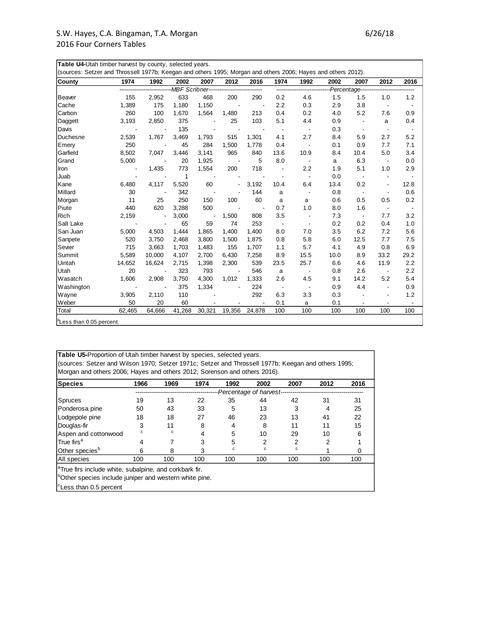| <b>County</b> | 1974           | 1992   | 2002   | 2007   | 2012                                      | 2016   | 1974                     | 1992                     | 2002 | 2007                     | 2012                     | 2016                     |
|---------------|----------------|--------|--------|--------|-------------------------------------------|--------|--------------------------|--------------------------|------|--------------------------|--------------------------|--------------------------|
|               |                |        |        |        | -MBF Scribner---------------------------- |        |                          | ------------------------ |      | Percentage----           |                          |                          |
| Beaver        | 155            | 2,952  | 633    | 468    | 200                                       | 290    | 0.2                      | 4.6                      | 1.5  | 1.5                      | 1.0                      | 1.2                      |
| Cache         | 1,389          | 175    | 1,180  | 1,150  |                                           |        | 2.2                      | 0.3                      | 2.9  | 3.8                      | $\blacksquare$           | $\overline{\phantom{a}}$ |
| Carbon        | 260            | 100    | 1,670  | 1,564  | 1,480                                     | 213    | 0.4                      | 0.2                      | 4.0  | 5.2                      | 7.6                      | 0.9                      |
| Daggett       | 3,193          | 2,850  | 375    |        | 25                                        | 103    | 5.1                      | 4.4                      | 0.9  |                          | a                        | 0.4                      |
| Davis         | $\blacksquare$ |        | 135    |        |                                           |        |                          |                          | 0.3  | $\overline{\phantom{a}}$ | $\blacksquare$           |                          |
| Duchesne      | 2,539          | 1,767  | 3,469  | 1,793  | 515                                       | 1,301  | 4.1                      | 2.7                      | 8.4  | 5.9                      | 2.7                      | 5.2                      |
| Emery         | 250            |        | 45     | 284    | 1,500                                     | 1,778  | 0.4                      |                          | 0.1  | 0.9                      | 7.7                      | 7.1                      |
| Garfield      | 8,502          | 7,047  | 3,446  | 3,141  | 965                                       | 840    | 13.6                     | 10.9                     | 8.4  | 10.4                     | 5.0                      | 3.4                      |
| Grand         | 5,000          |        | 20     | 1,925  |                                           | 5      | 8.0                      | $\overline{\phantom{a}}$ | a    | 6.3                      | $\sim$                   | 0.0                      |
| Iron          |                | 1,435  | 773    | 1,554  | 200                                       | 718    |                          | 2.2                      | 1.9  | 5.1                      | 1.0                      | 2.9                      |
| Juab          |                |        | 1      |        |                                           |        |                          | $\blacksquare$           | 0.0  |                          |                          |                          |
| Kane          | 6,480          | 4,117  | 5,520  | 60     |                                           | 3,192  | 10.4                     | 6.4                      | 13.4 | 0.2                      | $\overline{\phantom{a}}$ | 12.8                     |
| Millard       | 30             |        | 342    |        |                                           | 144    | a                        |                          | 0.8  | $\overline{\phantom{a}}$ | $\overline{\phantom{a}}$ | 0.6                      |
| Morgan        | 11             | 25     | 250    | 150    | 100                                       | 60     | a                        | a                        | 0.6  | 0.5                      | 0.5                      | 0.2                      |
| Piute         | 440            | 620    | 3,288  | 500    |                                           |        | 0.7                      | 1.0                      | 8.0  | 1.6                      | $\overline{\phantom{a}}$ | $\overline{\phantom{a}}$ |
| Rich          | 2,159          |        | 3,000  |        | 1,500                                     | 808    | 3.5                      |                          | 7.3  | $\overline{\phantom{a}}$ | 7.7                      | 3.2                      |
| Salt Lake     |                |        | 65     | 59     | 74                                        | 253    | $\overline{\phantom{a}}$ | $\blacksquare$           | 0.2  | 0.2                      | 0.4                      | 1.0                      |
| San Juan      | 5,000          | 4,503  | 1,444  | 1,865  | 1,400                                     | 1,400  | 8.0                      | 7.0                      | 3.5  | 6.2                      | 7.2                      | 5.6                      |
| Sanpete       | 520            | 3,750  | 2,468  | 3,800  | 1,500                                     | 1,875  | 0.8                      | 5.8                      | 6.0  | 12.5                     | 7.7                      | 7.5                      |
| Sevier        | 715            | 3,663  | 1,703  | 1,483  | 155                                       | 1,707  | 1.1                      | 5.7                      | 4.1  | 4.9                      | 0.8                      | 6.9                      |
| Summit        | 5,589          | 10.000 | 4,107  | 2,700  | 6,430                                     | 7,258  | 8.9                      | 15.5                     | 10.0 | 8.9                      | 33.2                     | 29.2                     |
| Uintah        | 14,652         | 16,624 | 2,715  | 1,398  | 2,300                                     | 539    | 23.5                     | 25.7                     | 6.6  | 4.6                      | 11.9                     | 2.2                      |
| Utah          | 20             |        | 323    | 793    |                                           | 546    | a                        |                          | 0.8  | 2.6                      |                          | 2.2                      |
| Wasatch       | 1,606          | 2,908  | 3,750  | 4,300  | 1,012                                     | 1,333  | 2.6                      | 4.5                      | 9.1  | 14.2                     | 5.2                      | 5.4                      |
| Washington    |                |        | 375    | 1,334  |                                           | 224    |                          |                          | 0.9  | 4.4                      | $\overline{\phantom{a}}$ | 0.9                      |
| Wayne         | 3,905          | 2,110  | 110    |        |                                           | 292    | 6.3                      | 3.3                      | 0.3  |                          |                          | 1.2                      |
| Weber         | 50             | 20     | 60     |        |                                           |        | 0.1                      | а                        | 0.1  |                          |                          |                          |
| Total         | 62,465         | 64,666 | 41,268 | 30,321 | 19,356                                    | 24,878 | 100                      | 100                      | 100  | 100                      | 100                      | 100                      |

Less than 0.05 percent.

**Table U5-**Proportion of Utah timber harvest by species, selected years. (sources: Setzer and Wilson 1970; Setzer 1971c; Setzer and Throssell 1977b; Keegan and others 1995; Morgan and others 2006; Hayes and others 2012; Sorenson and others 2016).

| Species                                                                                                                                  | 1966 | 1969 | 1974 | 1992 | 2002                     | 2007 | 2012 | 2016 |
|------------------------------------------------------------------------------------------------------------------------------------------|------|------|------|------|--------------------------|------|------|------|
|                                                                                                                                          |      |      |      |      | -Percentage of harvest-- |      |      |      |
| Spruces                                                                                                                                  | 19   | 13   | 22   | 35   | 44                       | 42   | 31   | 31   |
| Ponderosa pine                                                                                                                           | 50   | 43   | 33   | 5    | 13                       | 3    | 4    | 25   |
| Lodgepole pine                                                                                                                           | 18   | 18   | 27   | 46   | 23                       | 13   | 41   | 22   |
| Douglas-fir                                                                                                                              | 3    | 11   | 8    | 4    | 8                        | 11   | 11   | 15   |
| Aspen and cottonwood                                                                                                                     | с    | c    | 4    | 5    | 10                       | 29   | 10   | 6    |
| True firs <sup>a</sup>                                                                                                                   | 4    |      | 3    | 5    | 2                        | 2    | 2    |      |
| Other species <sup>b</sup>                                                                                                               | 6    | 8    | 3    | c    | с                        | c    |      | 0    |
| All species                                                                                                                              | 100  | 100  | 100  | 100  | 100                      | 100  | 100  | 100  |
| <sup>a</sup> True firs include white, subalpine, and corkbark fir.<br><sup>1</sup> Other species include juniper and western white pine. |      |      |      |      |                          |      |      |      |

<sup>c</sup>Less than 0.5 percent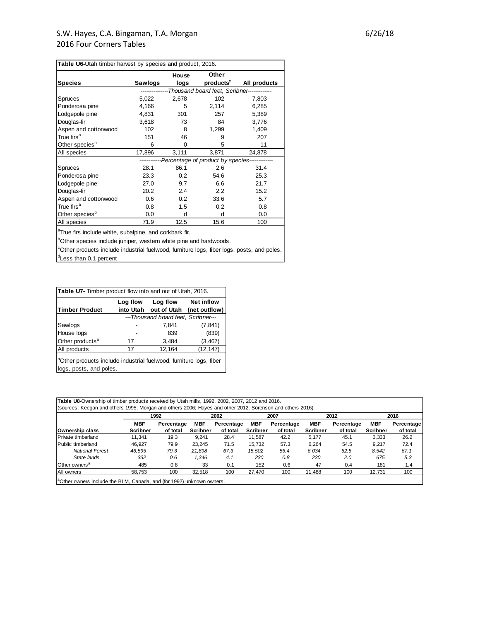|                            |         | House | Other                                                     |              |
|----------------------------|---------|-------|-----------------------------------------------------------|--------------|
| <b>Species</b>             | Sawlogs | logs  | products <sup>c</sup>                                     | All products |
|                            |         |       | -Thousand board feet, Scribner-------------               |              |
| <b>Spruces</b>             | 5,022   | 2,678 | 102                                                       | 7,803        |
| Ponderosa pine             | 4,166   | 5     | 2,114                                                     | 6,285        |
| Lodgepole pine             | 4,831   | 301   | 257                                                       | 5,389        |
| Douglas-fir                | 3,618   | 73    | 84                                                        | 3,776        |
| Aspen and cottonwood       | 102     | 8     | 1,299                                                     | 1,409        |
| True firs <sup>a</sup>     | 151     | 46    | 9                                                         | 207          |
| Other species <sup>b</sup> | 6       | 0     | 5                                                         | 11           |
| All species                | 17,896  | 3,111 | 3,871                                                     | 24,878       |
|                            |         |       | ------------Percentage of product by species------------- |              |
| Spruces                    | 28.1    | 86.1  | 2.6                                                       | 31.4         |
| Ponderosa pine             | 23.3    | 0.2   | 54.6                                                      | 25.3         |
| Lodgepole pine             | 27.0    | 9.7   | 6.6                                                       | 21.7         |
| Douglas-fir                | 20.2    | 2.4   | 2.2                                                       | 15.2         |
| Aspen and cottonwood       | 0.6     | 0.2   | 33.6                                                      | 5.7          |
| True firs <sup>a</sup>     | 0.8     | 1.5   | 0.2                                                       | 0.8          |
| Other species <sup>b</sup> | 0.0     | d     | d                                                         | 0.0          |
| All species                | 71.9    | 12.5  | 15.6                                                      | 100          |

**bOther species include juniper, western white pine and hardwoods.** 

<sup>c</sup>Other products include industrial fuelwood, furniture logs, fiber logs, posts, and poles. <sup>d</sup>Less than 0.1 percent

| <b>Timber Product</b>       | Log flow<br>into Utah | Log flow<br>out of Utah             | <b>Net inflow</b><br>(net outflow) |
|-----------------------------|-----------------------|-------------------------------------|------------------------------------|
|                             |                       | ---Thousand board feet, Scribner--- |                                    |
| Sawlogs                     |                       | 7.841                               | (7, 841)                           |
| House logs                  |                       | 839                                 | (839)                              |
| Other products <sup>a</sup> | 17                    | 3,484                               | (3, 467)                           |
| All products                | 17                    | 12,164                              | (12, 147)                          |

**Table U8-**Ownership of timber products received by Utah mills, 1992, 2002, 2007, 2012 and 2016. (sources: Keegan and others 1995; Morgan and others 2006; Hayes and other 2012; Sorenson and others 2016). **Ownership class MBF Scribner Percentage of total MBF Scribner Percentage of total MBF Scribner Percentage of total MBF Scribner Percentage of total MBF Scribner Percentage of total** Private timberland 11,341 19.3 9,241 28.4 11,587 42.2 5,177 45.1 3,333 26.2 Public timberland 46,927 79.9 23,245 71.5 15,732 57.3 6,264 54.5 9,217 72.4  *National Forest 46,595 79.3 21,898 67.3 15,502 56.4 6,034 52.5 8,542 67.1 State lands 332 0.6 1,346 4.1 230 0.8 230 2.0 675 5.3* Other owners<sup>a</sup> 485 0.8 33 0.1 152 0.6 47 0.4 181 1.4 All owners 58,753 100 32,518 100 27,470 100 11,488 100 12,731 100 **1992 2002 2007 2012 2016**

aOther owners include the BLM, Canada, and (for 1992) unknown owners.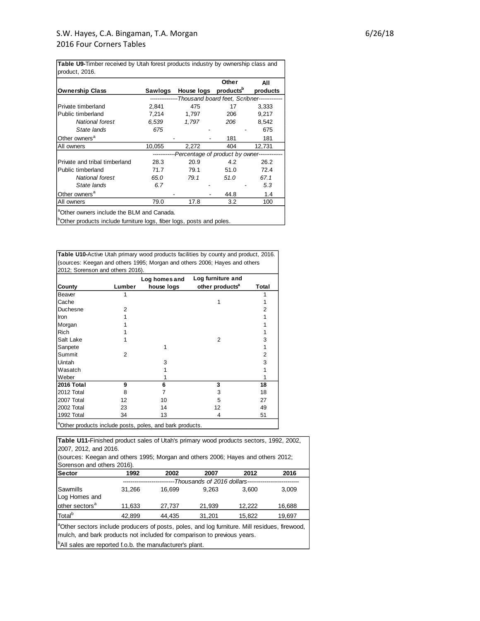**Table U9-**Timber received by Utah forest products industry by ownership class and product, 2016.

|                                                                                  |         |                                                         | Other | All      |
|----------------------------------------------------------------------------------|---------|---------------------------------------------------------|-------|----------|
| <b>Ownership Class</b>                                                           | Sawlogs | House logs products <sup>b</sup>                        |       | products |
|                                                                                  |         | --------------Thousand board feet, Scribner------------ |       |          |
| Private timberland                                                               | 2.841   | 475                                                     | 17    | 3,333    |
| Public timberland                                                                | 7,214   | 1,797                                                   | 206   | 9,217    |
| National forest                                                                  | 6.539   | 1,797                                                   | 206   | 8,542    |
| State lands                                                                      | 675     |                                                         |       | 675      |
| Other owners <sup>a</sup>                                                        |         |                                                         | 181   | 181      |
| All owners                                                                       | 10,055  | 2,272                                                   | 404   | 12,731   |
|                                                                                  |         | ------------Percentage of product by owner------------- |       |          |
| Private and tribal timberland                                                    | 28.3    | 20.9                                                    | 4.2   | 26.2     |
| Public timberland                                                                | 71.7    | 79.1                                                    | 51.0  | 72.4     |
| National forest                                                                  | 65.0    | 79.1                                                    | 51.0  | 67.1     |
| State lands                                                                      | 6.7     |                                                         |       | 5.3      |
| Other owners <sup>a</sup>                                                        |         |                                                         | 44.8  | 1.4      |
| All owners                                                                       | 79.0    | 17.8                                                    | 3.2   | 100      |
| <sup>a</sup> Other owners include the BLM and Canada.                            |         |                                                         |       |          |
| <sup>b</sup> Other products include furniture logs, fiber logs, posts and poles. |         |                                                         |       |          |

**Table U10-**Active Utah primary wood products facilities by county and product, 2016. (sources: Keegan and others 1995; Morgan and others 2006; Hayes and others 2012: Sorenson and others 2016).

|                   |        | Log homes and | Log furniture and           |       |
|-------------------|--------|---------------|-----------------------------|-------|
| County            | Lumber | house logs    | other products <sup>a</sup> | Total |
| Beaver            |        |               |                             |       |
| Cache             |        |               |                             |       |
| Duchesne          | 2      |               |                             | 2     |
| Iron              |        |               |                             |       |
| Morgan            |        |               |                             |       |
| <b>Rich</b>       |        |               |                             |       |
| Salt Lake         |        |               | 2                           | 3     |
| Sanpete           |        |               |                             |       |
| Summit            | 2      |               |                             | 2     |
| Uintah            |        | 3             |                             | 3     |
| Wasatch           |        |               |                             |       |
| Weber             |        |               |                             |       |
| <b>2016 Total</b> | 9      | 6             | 3                           | 18    |
| 2012 Total        | 8      |               | 3                           | 18    |
| 2007 Total        | 12     | 10            | 5                           | 27    |
| 2002 Total        | 23     | 14            | 12                          | 49    |
| 1992 Total        | 34     | 13            | 4                           | 51    |

<sup>a</sup>Other products include posts, poles, and bark products.

**Sector 1992 2002 2007 2012 2016** Sawmills 31,266 16,699 9,263 3,600 3,009 11,633 27,737 21,939 12,222 16,688 Total<sup>b</sup> 42,899 44,435 31,201 15,822 19,697 *---------------------------Thousands of 2016 dollars---------------------------* **Table U11-**Finished product sales of Utah's primary wood products sectors, 1992, 2002, 2007, 2012, and 2016. <sup>a</sup>Other sectors include producers of posts, poles, and log furniture. Mill residues, firewood, mulch, and bark products not included for comparison to previous years. (sources: Keegan and others 1995; Morgan and others 2006; Hayes and others 2012; Sorenson and others 2016). Log Homes and other sectors<sup>a</sup>

<sup>b</sup>All sales are reported f.o.b. the manufacturer's plant.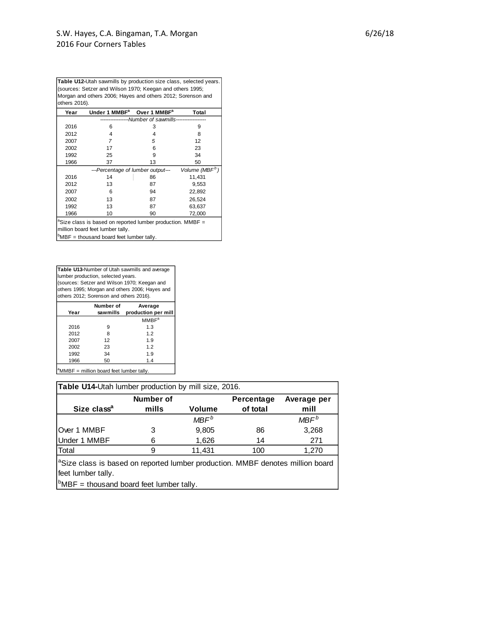**Table U12-**Utah sawmills by production size class, selected years. (sources: Setzer and Wilson 1970; Keegan and others 1995; Morgan and others 2006; Hayes and others 2012; Sorenson and others 2016).

| Year | Under 1 MMBF <sup>a</sup>                                              | Over 1 MMBF <sup>a</sup>               | <b>Total</b>               |
|------|------------------------------------------------------------------------|----------------------------------------|----------------------------|
|      |                                                                        | ---Number of sawmills----------------- |                            |
| 2016 | 6                                                                      | 3                                      | 9                          |
| 2012 | 4                                                                      | 4                                      | 8                          |
| 2007 | 7                                                                      | 5                                      | 12                         |
| 2002 | 17                                                                     | 6                                      | 23                         |
| 1992 | 25                                                                     | 9                                      | 34                         |
| 1966 | 37                                                                     | 13                                     | 50                         |
|      | ---Percentage of lumber output---                                      |                                        | Volume (MBF <sup>b</sup> ) |
| 2016 | 14                                                                     | 86                                     | 11,431                     |
| 2012 | 13                                                                     | 87                                     | 9,553                      |
| 2007 | 6                                                                      | 94                                     | 22,892                     |
| 2002 | 13                                                                     | 87                                     | 26,524                     |
| 1992 | 13                                                                     | 87                                     | 63,637                     |
| 1966 | 10                                                                     | 90                                     | 72,000                     |
|      | <sup>a</sup> Size class is based on reported lumber production. MMBF = |                                        |                            |

million board feet lumber tally.

 $b$ MBF = thousand board feet lumber tally.

**Table U13-**Number of Utah sawmills and average lumber production, selected years. (sources: Setzer and Wilson 1970; Keegan and others 1995; Morgan and others 2006; Hayes and others 2012; Sorenson and others 2016).

| Year                 | Number of<br>sawmills | Average<br>production per mill |
|----------------------|-----------------------|--------------------------------|
|                      |                       | MMBF <sup>a</sup>              |
| 2016                 | 9                     | 1.3                            |
| 2012                 | 8                     | 1.2                            |
| 2007                 | 12                    | 1.9                            |
| 2002                 | 23                    | 1.2                            |
| 1992                 | 34                    | 1.9                            |
| 1966                 | 50                    | 1.4                            |
| $\sim$ $\sim$ $\sim$ |                       |                                |

 $a<sup>a</sup>MMBF$  = million board feet lumber tally.

| Table U14-Utah lumber production by mill size, 2016. |                    |                  |                        |                     |
|------------------------------------------------------|--------------------|------------------|------------------------|---------------------|
| Size class <sup>a</sup>                              | Number of<br>mills | <b>Volume</b>    | Percentage<br>of total | Average per<br>mill |
|                                                      |                    | MBF <sup>b</sup> |                        | MBF <sup>b</sup>    |
| Over 1 MMBF                                          |                    | 9,805            | 86                     | 3,268               |
| Under 1 MMBF                                         |                    | 1,626            | 14                     | 271                 |
| Total                                                |                    | 11,431           | 100                    | 1,270               |

<sup>a</sup>Size class is based on reported lumber production. MMBF denotes million board feet lumber tally.<br>
<sup>b</sup>MBF = thousand board feet lumber tally. feet lumber tally.